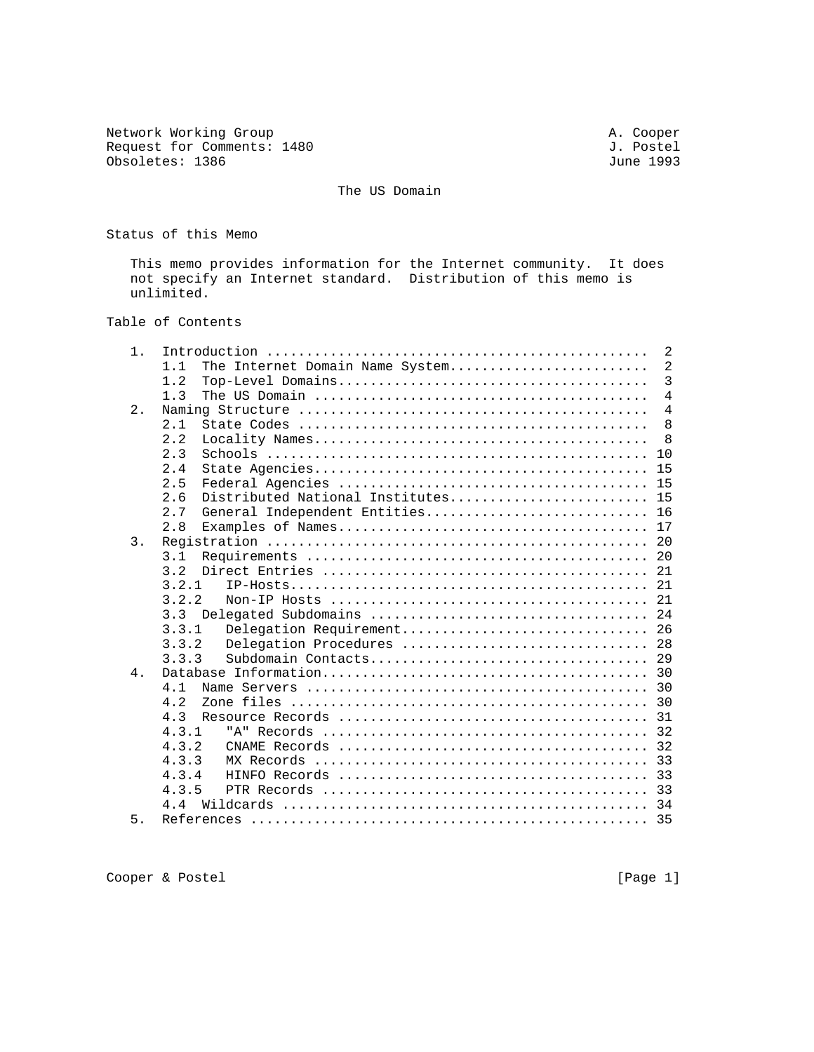Network Working Group<br>
Request for Comments: 1480<br>  $J. Postel$ Request for Comments: 1480<br>
Obsoletes: 1386<br>
June 1993 Obsoletes: 1386

The US Domain

Status of this Memo

 This memo provides information for the Internet community. It does not specify an Internet standard. Distribution of this memo is unlimited.

# Table of Contents

| $1$ . |                                           | 2              |
|-------|-------------------------------------------|----------------|
|       | The Internet Domain Name System<br>1.1    | 2              |
|       | 1.2                                       | $\overline{3}$ |
|       | 1.3                                       | $\overline{4}$ |
| 2.    |                                           | $\overline{4}$ |
|       | 2.1                                       | 8              |
|       | 2.2                                       | 8              |
|       | 2.3                                       | 10             |
|       | 2.4                                       |                |
|       | 2.5                                       | 15             |
|       | Distributed National Institutes 15<br>2.6 |                |
|       | General Independent Entities 16<br>2.7    |                |
|       | 2.8                                       |                |
| 3.    |                                           |                |
|       | 3.1                                       |                |
|       | 3.2                                       |                |
|       | 3.2.1                                     | 21             |
|       | 3.2.2                                     |                |
|       | 3.3                                       |                |
|       | 3.3.1                                     |                |
|       | 3.3.2<br>Delegation Procedures  28        |                |
|       | 3.3.3                                     |                |
| $4$ . |                                           |                |
|       | 4.1                                       |                |
|       | 4.2                                       |                |
|       | 4.3                                       |                |
|       | 4.3.1                                     |                |
|       | 4.3.2                                     |                |
|       | 4.3.3<br>MX Records                       |                |
|       | 4.3.4                                     |                |
|       | 4.3.5                                     |                |
|       | 44                                        |                |
| 5.    |                                           |                |

Cooper & Postel [Page 1]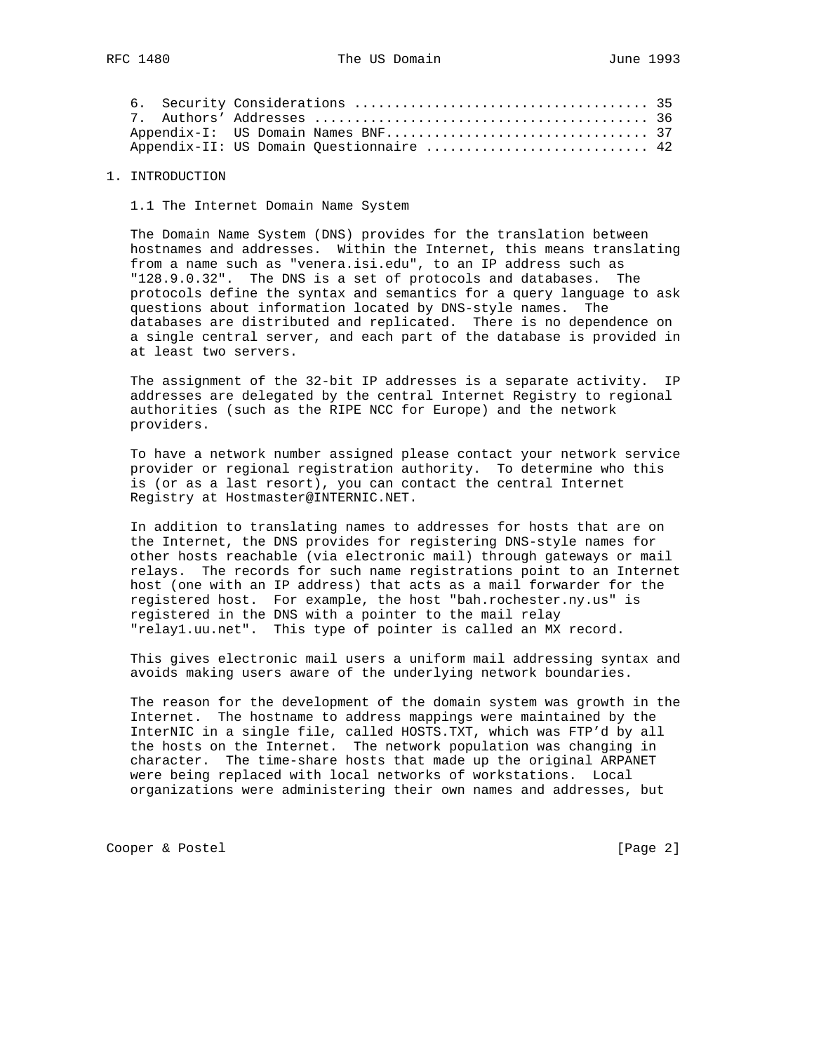|  |  | Appendix-II: US Domain Questionnaire  42 |  |
|--|--|------------------------------------------|--|

### 1. INTRODUCTION

1.1 The Internet Domain Name System

 The Domain Name System (DNS) provides for the translation between hostnames and addresses. Within the Internet, this means translating from a name such as "venera.isi.edu", to an IP address such as "128.9.0.32". The DNS is a set of protocols and databases. The protocols define the syntax and semantics for a query language to ask questions about information located by DNS-style names. The databases are distributed and replicated. There is no dependence on a single central server, and each part of the database is provided in at least two servers.

 The assignment of the 32-bit IP addresses is a separate activity. IP addresses are delegated by the central Internet Registry to regional authorities (such as the RIPE NCC for Europe) and the network providers.

 To have a network number assigned please contact your network service provider or regional registration authority. To determine who this is (or as a last resort), you can contact the central Internet Registry at Hostmaster@INTERNIC.NET.

 In addition to translating names to addresses for hosts that are on the Internet, the DNS provides for registering DNS-style names for other hosts reachable (via electronic mail) through gateways or mail relays. The records for such name registrations point to an Internet host (one with an IP address) that acts as a mail forwarder for the registered host. For example, the host "bah.rochester.ny.us" is registered in the DNS with a pointer to the mail relay "relay1.uu.net". This type of pointer is called an MX record.

 This gives electronic mail users a uniform mail addressing syntax and avoids making users aware of the underlying network boundaries.

 The reason for the development of the domain system was growth in the Internet. The hostname to address mappings were maintained by the InterNIC in a single file, called HOSTS.TXT, which was FTP'd by all the hosts on the Internet. The network population was changing in character. The time-share hosts that made up the original ARPANET were being replaced with local networks of workstations. Local organizations were administering their own names and addresses, but

Cooper & Postel [Page 2]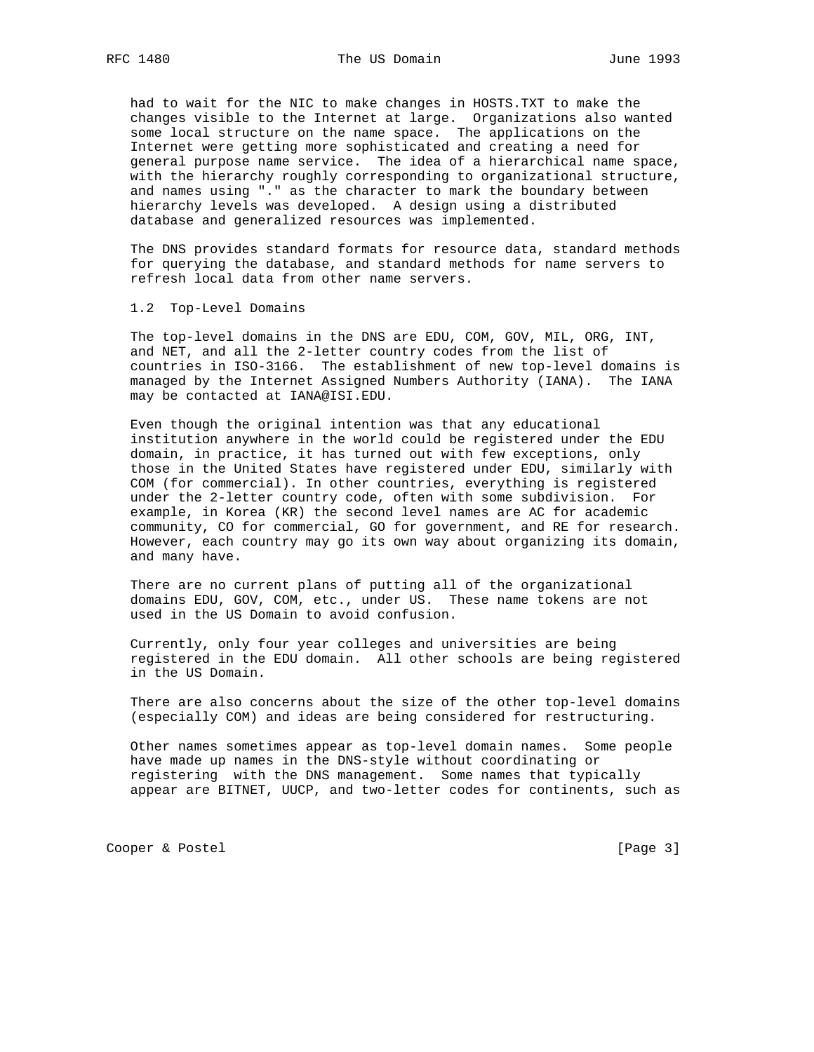had to wait for the NIC to make changes in HOSTS.TXT to make the changes visible to the Internet at large. Organizations also wanted some local structure on the name space. The applications on the Internet were getting more sophisticated and creating a need for general purpose name service. The idea of a hierarchical name space, with the hierarchy roughly corresponding to organizational structure, and names using "." as the character to mark the boundary between hierarchy levels was developed. A design using a distributed database and generalized resources was implemented.

 The DNS provides standard formats for resource data, standard methods for querying the database, and standard methods for name servers to refresh local data from other name servers.

#### 1.2 Top-Level Domains

 The top-level domains in the DNS are EDU, COM, GOV, MIL, ORG, INT, and NET, and all the 2-letter country codes from the list of countries in ISO-3166. The establishment of new top-level domains is managed by the Internet Assigned Numbers Authority (IANA). The IANA may be contacted at IANA@ISI.EDU.

 Even though the original intention was that any educational institution anywhere in the world could be registered under the EDU domain, in practice, it has turned out with few exceptions, only those in the United States have registered under EDU, similarly with COM (for commercial). In other countries, everything is registered under the 2-letter country code, often with some subdivision. For example, in Korea (KR) the second level names are AC for academic community, CO for commercial, GO for government, and RE for research. However, each country may go its own way about organizing its domain, and many have.

 There are no current plans of putting all of the organizational domains EDU, GOV, COM, etc., under US. These name tokens are not used in the US Domain to avoid confusion.

 Currently, only four year colleges and universities are being registered in the EDU domain. All other schools are being registered in the US Domain.

 There are also concerns about the size of the other top-level domains (especially COM) and ideas are being considered for restructuring.

 Other names sometimes appear as top-level domain names. Some people have made up names in the DNS-style without coordinating or registering with the DNS management. Some names that typically appear are BITNET, UUCP, and two-letter codes for continents, such as

Cooper & Postel [Page 3]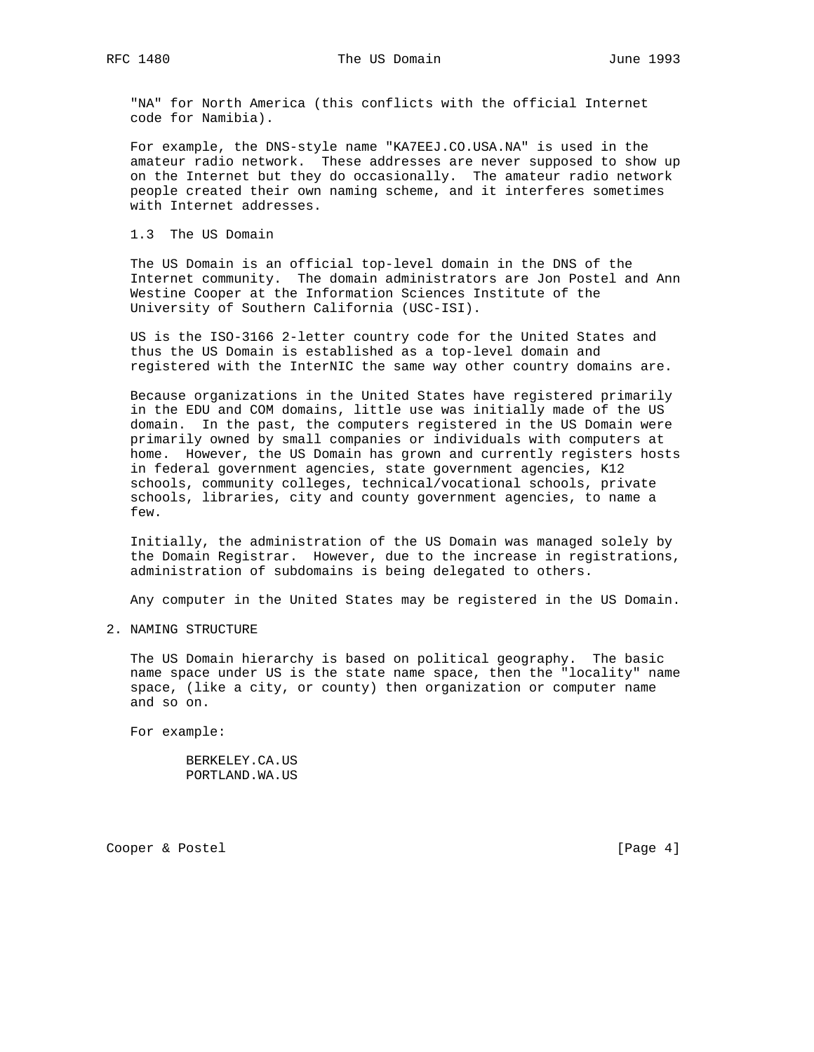"NA" for North America (this conflicts with the official Internet code for Namibia).

 For example, the DNS-style name "KA7EEJ.CO.USA.NA" is used in the amateur radio network. These addresses are never supposed to show up on the Internet but they do occasionally. The amateur radio network people created their own naming scheme, and it interferes sometimes with Internet addresses.

1.3 The US Domain

 The US Domain is an official top-level domain in the DNS of the Internet community. The domain administrators are Jon Postel and Ann Westine Cooper at the Information Sciences Institute of the University of Southern California (USC-ISI).

 US is the ISO-3166 2-letter country code for the United States and thus the US Domain is established as a top-level domain and registered with the InterNIC the same way other country domains are.

 Because organizations in the United States have registered primarily in the EDU and COM domains, little use was initially made of the US domain. In the past, the computers registered in the US Domain were primarily owned by small companies or individuals with computers at home. However, the US Domain has grown and currently registers hosts in federal government agencies, state government agencies, K12 schools, community colleges, technical/vocational schools, private schools, libraries, city and county government agencies, to name a few.

 Initially, the administration of the US Domain was managed solely by the Domain Registrar. However, due to the increase in registrations, administration of subdomains is being delegated to others.

Any computer in the United States may be registered in the US Domain.

2. NAMING STRUCTURE

 The US Domain hierarchy is based on political geography. The basic name space under US is the state name space, then the "locality" name space, (like a city, or county) then organization or computer name and so on.

For example:

 BERKELEY.CA.US PORTLAND.WA.US

Cooper & Postel [Page 4]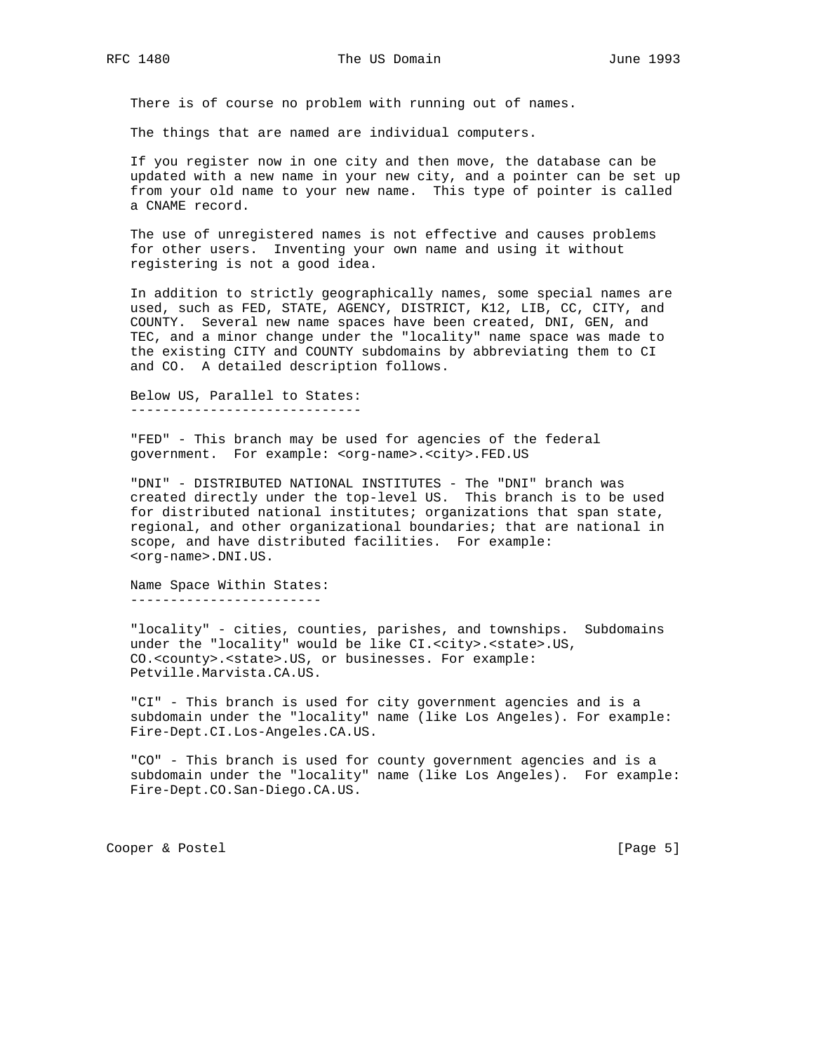The things that are named are individual computers.

There is of course no problem with running out of names.

 If you register now in one city and then move, the database can be updated with a new name in your new city, and a pointer can be set up from your old name to your new name. This type of pointer is called a CNAME record.

 The use of unregistered names is not effective and causes problems for other users. Inventing your own name and using it without registering is not a good idea.

 In addition to strictly geographically names, some special names are used, such as FED, STATE, AGENCY, DISTRICT, K12, LIB, CC, CITY, and COUNTY. Several new name spaces have been created, DNI, GEN, and TEC, and a minor change under the "locality" name space was made to the existing CITY and COUNTY subdomains by abbreviating them to CI and CO. A detailed description follows.

 Below US, Parallel to States: -----------------------------

 "FED" - This branch may be used for agencies of the federal government. For example: <org-name>.<city>.FED.US

 "DNI" - DISTRIBUTED NATIONAL INSTITUTES - The "DNI" branch was created directly under the top-level US. This branch is to be used for distributed national institutes; organizations that span state, regional, and other organizational boundaries; that are national in scope, and have distributed facilities. For example: <org-name>.DNI.US.

 Name Space Within States: ------------------------

 "locality" - cities, counties, parishes, and townships. Subdomains under the "locality" would be like CI.<city>.<state>.US, CO.<county>.<state>.US, or businesses. For example: Petville.Marvista.CA.US.

 "CI" - This branch is used for city government agencies and is a subdomain under the "locality" name (like Los Angeles). For example: Fire-Dept.CI.Los-Angeles.CA.US.

 "CO" - This branch is used for county government agencies and is a subdomain under the "locality" name (like Los Angeles). For example: Fire-Dept.CO.San-Diego.CA.US.

Cooper & Postel [Page 5]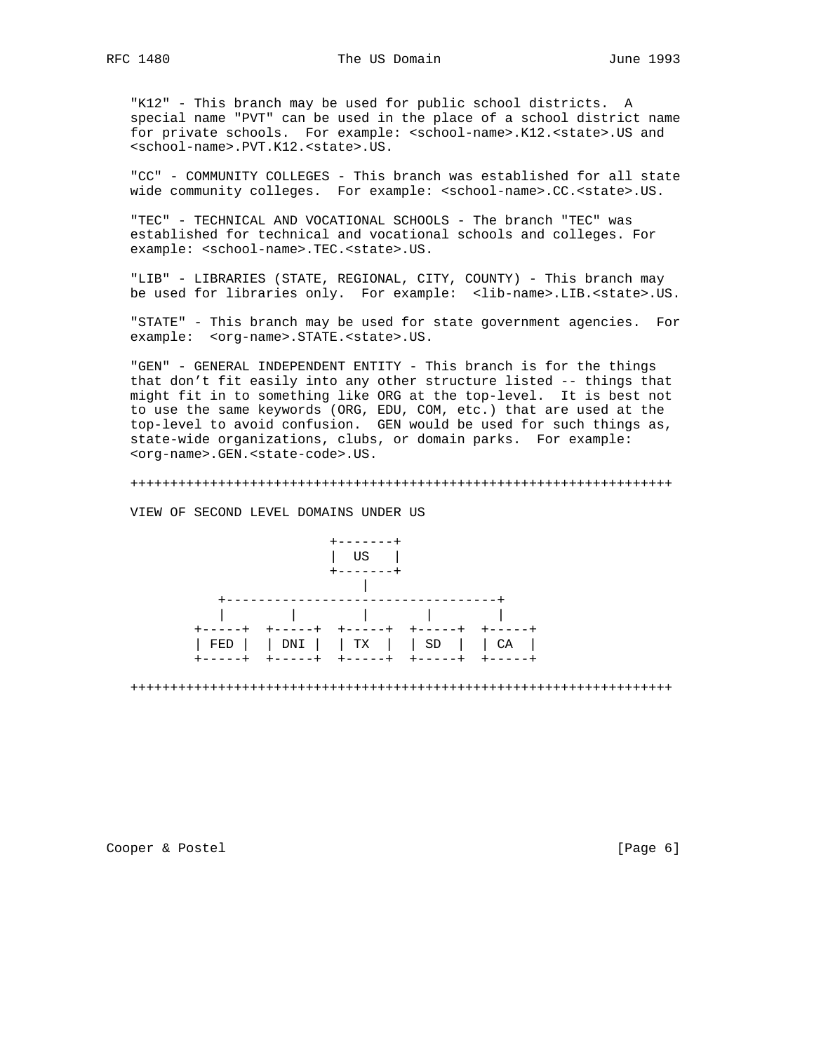"K12" - This branch may be used for public school districts. A special name "PVT" can be used in the place of a school district name for private schools. For example: <school-name>.K12.<state>.US and <school-name>.PVT.K12.<state>.US.

 "CC" - COMMUNITY COLLEGES - This branch was established for all state wide community colleges. For example: <school-name>.CC.<state>.US.

 "TEC" - TECHNICAL AND VOCATIONAL SCHOOLS - The branch "TEC" was established for technical and vocational schools and colleges. For example: <school-name>.TEC.<state>.US.

 "LIB" - LIBRARIES (STATE, REGIONAL, CITY, COUNTY) - This branch may be used for libraries only. For example: <lib-name>.LIB.<state>.US.

 "STATE" - This branch may be used for state government agencies. For example: <org-name>.STATE.<state>.US.

 "GEN" - GENERAL INDEPENDENT ENTITY - This branch is for the things that don't fit easily into any other structure listed -- things that might fit in to something like ORG at the top-level. It is best not to use the same keywords (ORG, EDU, COM, etc.) that are used at the top-level to avoid confusion. GEN would be used for such things as, state-wide organizations, clubs, or domain parks. For example: <org-name>.GEN.<state-code>.US.

++++++++++++++++++++++++++++++++++++++++++++++++++++++++++++++++++++

VIEW OF SECOND LEVEL DOMAINS UNDER US



++++++++++++++++++++++++++++++++++++++++++++++++++++++++++++++++++++

Cooper & Postel [Page 6]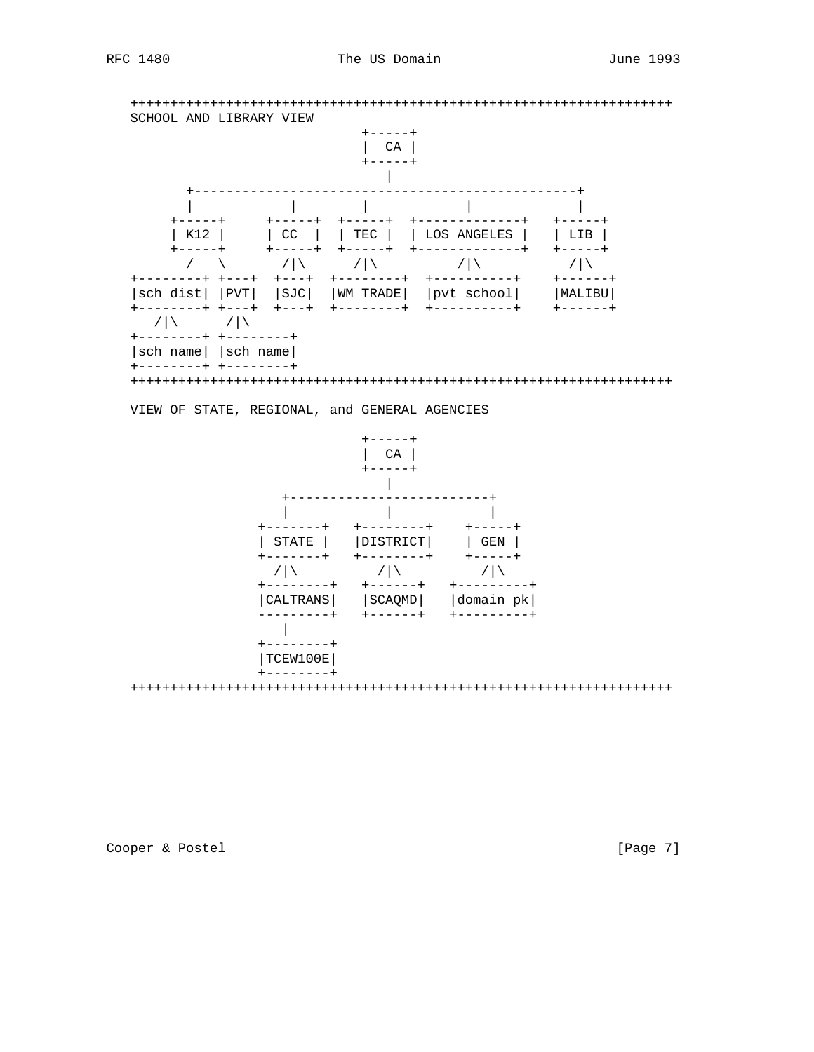

VIEW OF STATE, REGIONAL, and GENERAL AGENCIES



Cooper & Postel

 $[Page 7]$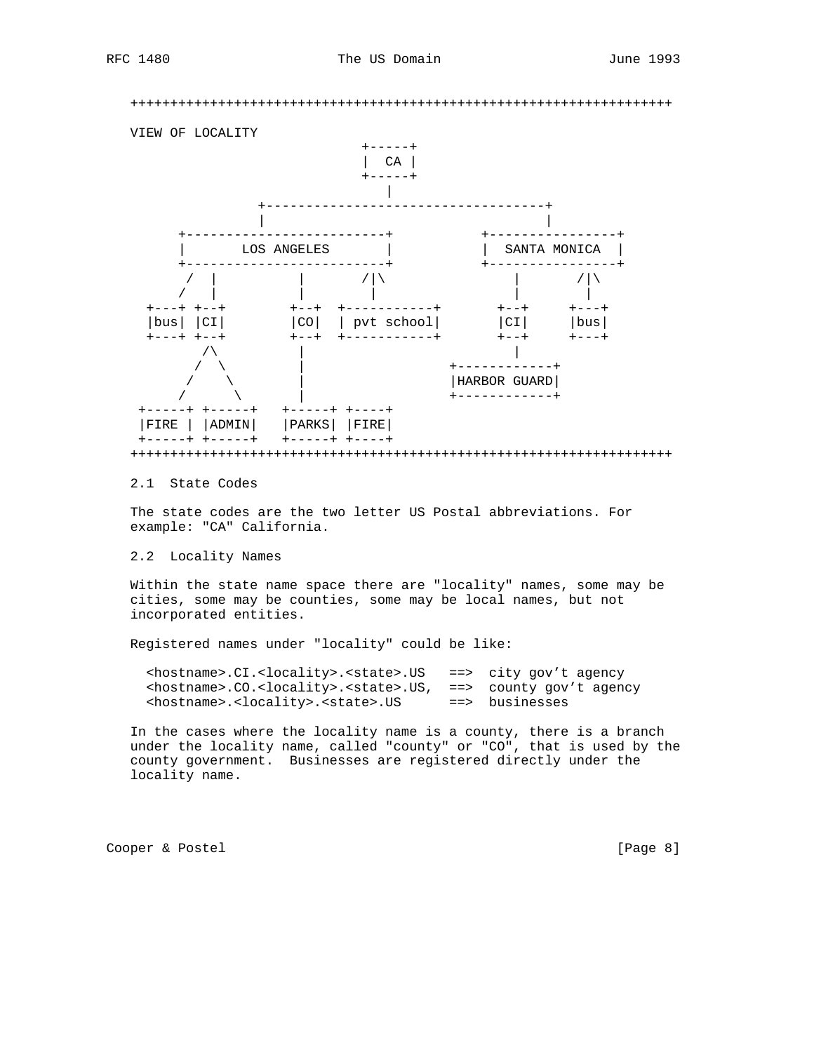

 $+ - - - - - - - - - - +$ | HARBOR GUARD| / \ | +------------+

### 2.1 State Codes

 The state codes are the two letter US Postal abbreviations. For example: "CA" California.

++++++++++++++++++++++++++++++++++++++++++++++++++++++++++++++++++++

### 2.2 Locality Names

 Within the state name space there are "locality" names, some may be cities, some may be counties, some may be local names, but not incorporated entities.

Registered names under "locality" could be like:

 $\sqrt{ }$ 

 +-----+ +-----+ +-----+ +----+ |FIRE | |ADMIN| |PARKS| |FIRE| +-----+ +-----+ +-----+ +----+

 <hostname>.CI.<locality>.<state>.US ==> city gov't agency <hostname>.CO.<locality>.<state>.US, ==> county gov't agency <hostname>.<locality>.<state>.US ==> businesses

 In the cases where the locality name is a county, there is a branch under the locality name, called "county" or "CO", that is used by the county government. Businesses are registered directly under the locality name.

Cooper & Postel [Page 8]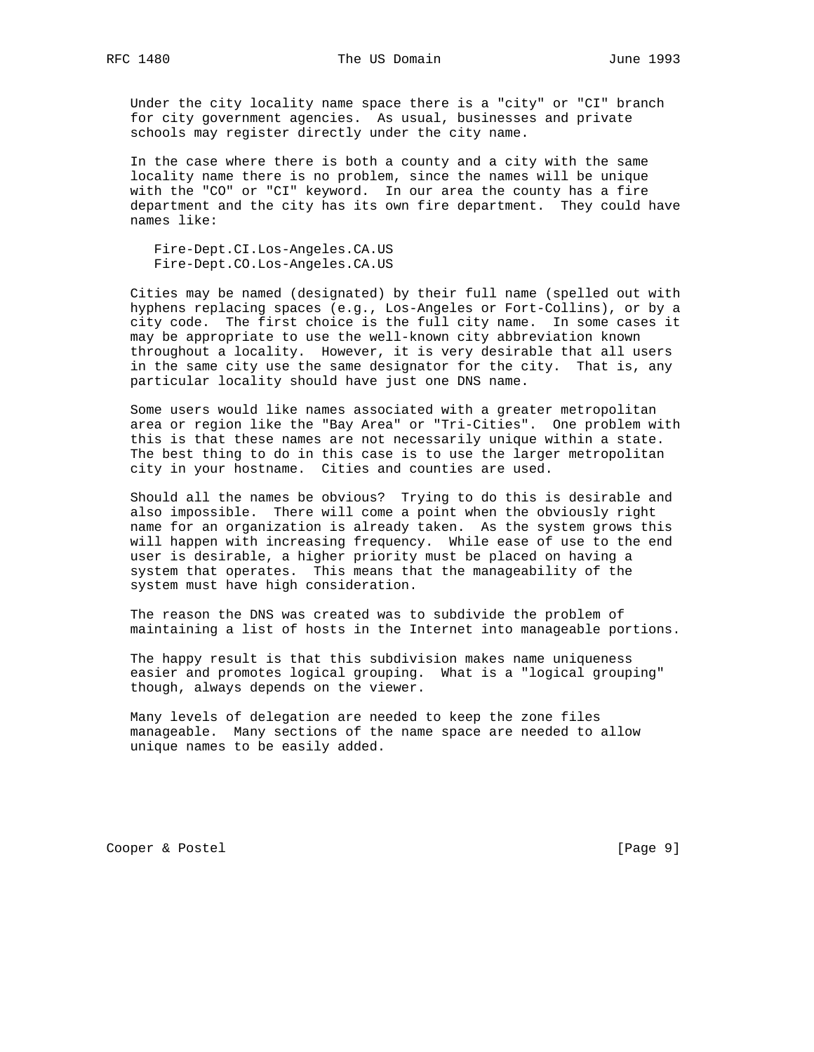Under the city locality name space there is a "city" or "CI" branch for city government agencies. As usual, businesses and private schools may register directly under the city name.

 In the case where there is both a county and a city with the same locality name there is no problem, since the names will be unique with the "CO" or "CI" keyword. In our area the county has a fire department and the city has its own fire department. They could have names like:

 Fire-Dept.CI.Los-Angeles.CA.US Fire-Dept.CO.Los-Angeles.CA.US

 Cities may be named (designated) by their full name (spelled out with hyphens replacing spaces (e.g., Los-Angeles or Fort-Collins), or by a city code. The first choice is the full city name. In some cases it may be appropriate to use the well-known city abbreviation known throughout a locality. However, it is very desirable that all users in the same city use the same designator for the city. That is, any particular locality should have just one DNS name.

 Some users would like names associated with a greater metropolitan area or region like the "Bay Area" or "Tri-Cities". One problem with this is that these names are not necessarily unique within a state. The best thing to do in this case is to use the larger metropolitan city in your hostname. Cities and counties are used.

 Should all the names be obvious? Trying to do this is desirable and also impossible. There will come a point when the obviously right name for an organization is already taken. As the system grows this will happen with increasing frequency. While ease of use to the end user is desirable, a higher priority must be placed on having a system that operates. This means that the manageability of the system must have high consideration.

 The reason the DNS was created was to subdivide the problem of maintaining a list of hosts in the Internet into manageable portions.

 The happy result is that this subdivision makes name uniqueness easier and promotes logical grouping. What is a "logical grouping" though, always depends on the viewer.

 Many levels of delegation are needed to keep the zone files manageable. Many sections of the name space are needed to allow unique names to be easily added.

Cooper & Postel [Page 9]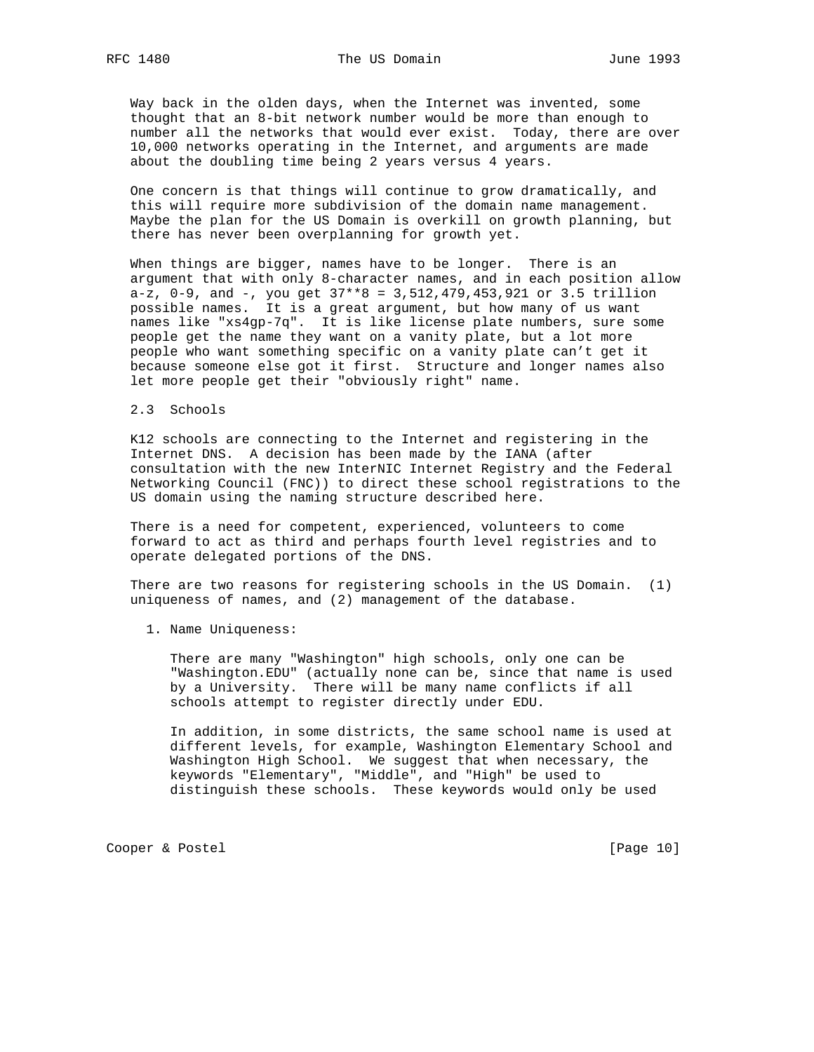Way back in the olden days, when the Internet was invented, some thought that an 8-bit network number would be more than enough to number all the networks that would ever exist. Today, there are over 10,000 networks operating in the Internet, and arguments are made about the doubling time being 2 years versus 4 years.

 One concern is that things will continue to grow dramatically, and this will require more subdivision of the domain name management. Maybe the plan for the US Domain is overkill on growth planning, but there has never been overplanning for growth yet.

 When things are bigger, names have to be longer. There is an argument that with only 8-character names, and in each position allow  $a-z$ ,  $0-9$ , and  $-z$ , you get  $37**8 = 3,512,479,453,921$  or  $3.5$  trillion possible names. It is a great argument, but how many of us want names like "xs4gp-7q". It is like license plate numbers, sure some people get the name they want on a vanity plate, but a lot more people who want something specific on a vanity plate can't get it because someone else got it first. Structure and longer names also let more people get their "obviously right" name.

### 2.3 Schools

 K12 schools are connecting to the Internet and registering in the Internet DNS. A decision has been made by the IANA (after consultation with the new InterNIC Internet Registry and the Federal Networking Council (FNC)) to direct these school registrations to the US domain using the naming structure described here.

 There is a need for competent, experienced, volunteers to come forward to act as third and perhaps fourth level registries and to operate delegated portions of the DNS.

 There are two reasons for registering schools in the US Domain. (1) uniqueness of names, and (2) management of the database.

1. Name Uniqueness:

 There are many "Washington" high schools, only one can be "Washington.EDU" (actually none can be, since that name is used by a University. There will be many name conflicts if all schools attempt to register directly under EDU.

 In addition, in some districts, the same school name is used at different levels, for example, Washington Elementary School and Washington High School. We suggest that when necessary, the keywords "Elementary", "Middle", and "High" be used to distinguish these schools. These keywords would only be used

Cooper & Postel [Page 10]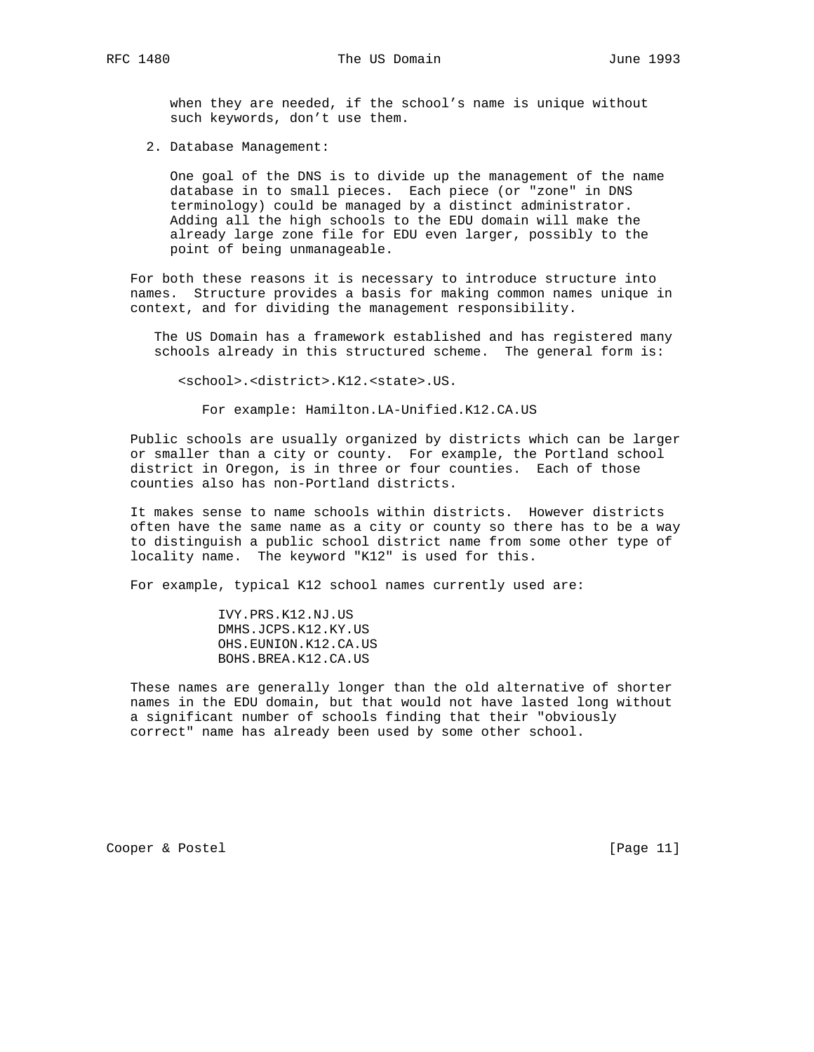when they are needed, if the school's name is unique without such keywords, don't use them.

2. Database Management:

 One goal of the DNS is to divide up the management of the name database in to small pieces. Each piece (or "zone" in DNS terminology) could be managed by a distinct administrator. Adding all the high schools to the EDU domain will make the already large zone file for EDU even larger, possibly to the point of being unmanageable.

 For both these reasons it is necessary to introduce structure into names. Structure provides a basis for making common names unique in context, and for dividing the management responsibility.

 The US Domain has a framework established and has registered many schools already in this structured scheme. The general form is:

<school>.<district>.K12.<state>.US.

For example: Hamilton.LA-Unified.K12.CA.US

 Public schools are usually organized by districts which can be larger or smaller than a city or county. For example, the Portland school district in Oregon, is in three or four counties. Each of those counties also has non-Portland districts.

 It makes sense to name schools within districts. However districts often have the same name as a city or county so there has to be a way to distinguish a public school district name from some other type of locality name. The keyword "K12" is used for this.

For example, typical K12 school names currently used are:

 IVY.PRS.K12.NJ.US DMHS.JCPS.K12.KY.US OHS.EUNION.K12.CA.US BOHS.BREA.K12.CA.US

 These names are generally longer than the old alternative of shorter names in the EDU domain, but that would not have lasted long without a significant number of schools finding that their "obviously correct" name has already been used by some other school.

Cooper & Postel [Page 11]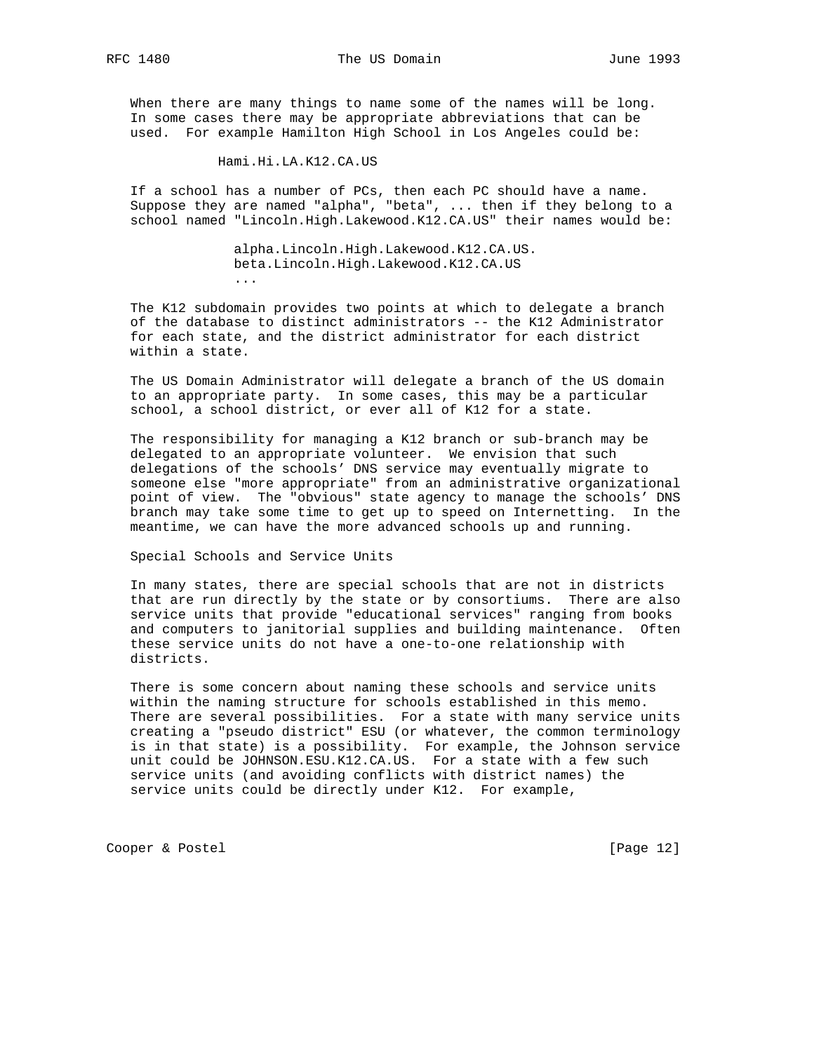When there are many things to name some of the names will be long. In some cases there may be appropriate abbreviations that can be used. For example Hamilton High School in Los Angeles could be:

#### Hami.Hi.LA.K12.CA.US

 If a school has a number of PCs, then each PC should have a name. Suppose they are named "alpha", "beta", ... then if they belong to a school named "Lincoln.High.Lakewood.K12.CA.US" their names would be:

 alpha.Lincoln.High.Lakewood.K12.CA.US. beta.Lincoln.High.Lakewood.K12.CA.US ...

 The K12 subdomain provides two points at which to delegate a branch of the database to distinct administrators -- the K12 Administrator for each state, and the district administrator for each district within a state.

 The US Domain Administrator will delegate a branch of the US domain to an appropriate party. In some cases, this may be a particular school, a school district, or ever all of K12 for a state.

 The responsibility for managing a K12 branch or sub-branch may be delegated to an appropriate volunteer. We envision that such delegations of the schools' DNS service may eventually migrate to someone else "more appropriate" from an administrative organizational point of view. The "obvious" state agency to manage the schools' DNS branch may take some time to get up to speed on Internetting. In the meantime, we can have the more advanced schools up and running.

Special Schools and Service Units

 In many states, there are special schools that are not in districts that are run directly by the state or by consortiums. There are also service units that provide "educational services" ranging from books and computers to janitorial supplies and building maintenance. Often these service units do not have a one-to-one relationship with districts.

 There is some concern about naming these schools and service units within the naming structure for schools established in this memo. There are several possibilities. For a state with many service units creating a "pseudo district" ESU (or whatever, the common terminology is in that state) is a possibility. For example, the Johnson service unit could be JOHNSON.ESU.K12.CA.US. For a state with a few such service units (and avoiding conflicts with district names) the service units could be directly under K12. For example,

Cooper & Postel [Page 12]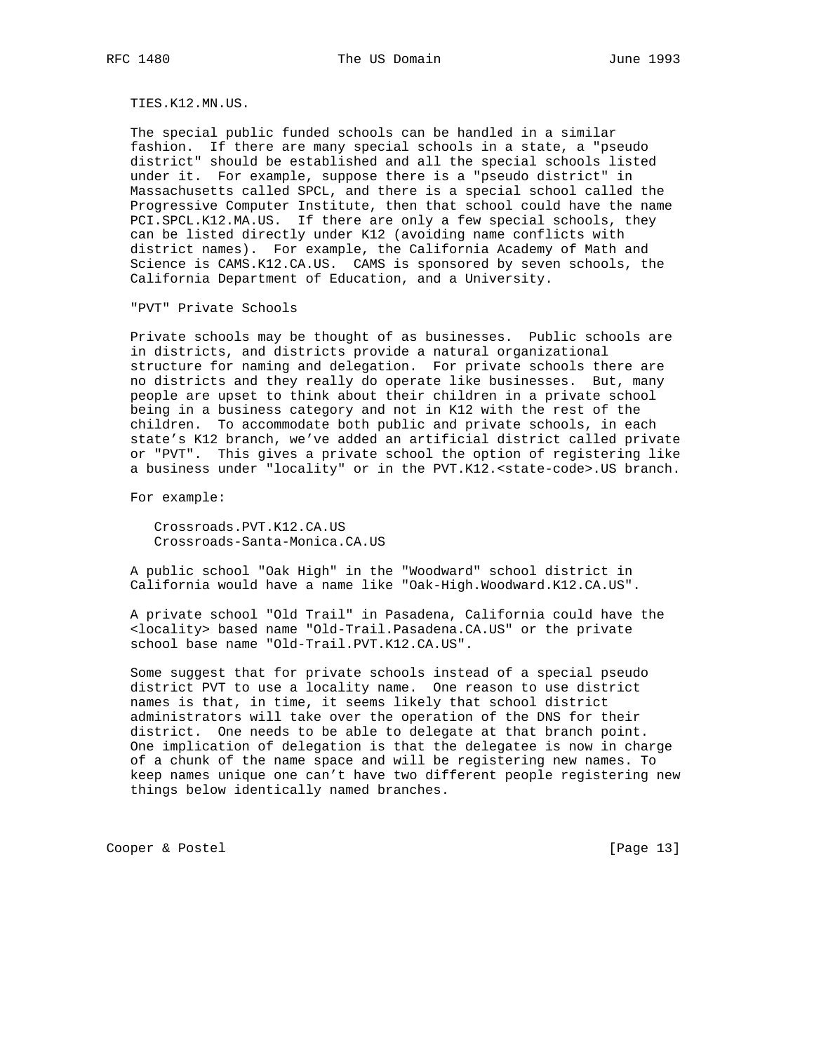TIES.K12.MN.US.

 The special public funded schools can be handled in a similar fashion. If there are many special schools in a state, a "pseudo district" should be established and all the special schools listed under it. For example, suppose there is a "pseudo district" in Massachusetts called SPCL, and there is a special school called the Progressive Computer Institute, then that school could have the name PCI.SPCL.K12.MA.US. If there are only a few special schools, they can be listed directly under K12 (avoiding name conflicts with district names). For example, the California Academy of Math and Science is CAMS.K12.CA.US. CAMS is sponsored by seven schools, the California Department of Education, and a University.

"PVT" Private Schools

 Private schools may be thought of as businesses. Public schools are in districts, and districts provide a natural organizational structure for naming and delegation. For private schools there are no districts and they really do operate like businesses. But, many people are upset to think about their children in a private school being in a business category and not in K12 with the rest of the children. To accommodate both public and private schools, in each state's K12 branch, we've added an artificial district called private or "PVT". This gives a private school the option of registering like a business under "locality" or in the PVT.K12.<state-code>.US branch.

For example:

 Crossroads.PVT.K12.CA.US Crossroads-Santa-Monica.CA.US

 A public school "Oak High" in the "Woodward" school district in California would have a name like "Oak-High.Woodward.K12.CA.US".

 A private school "Old Trail" in Pasadena, California could have the <locality> based name "Old-Trail.Pasadena.CA.US" or the private school base name "Old-Trail.PVT.K12.CA.US".

 Some suggest that for private schools instead of a special pseudo district PVT to use a locality name. One reason to use district names is that, in time, it seems likely that school district administrators will take over the operation of the DNS for their district. One needs to be able to delegate at that branch point. One implication of delegation is that the delegatee is now in charge of a chunk of the name space and will be registering new names. To keep names unique one can't have two different people registering new things below identically named branches.

Cooper & Postel [Page 13]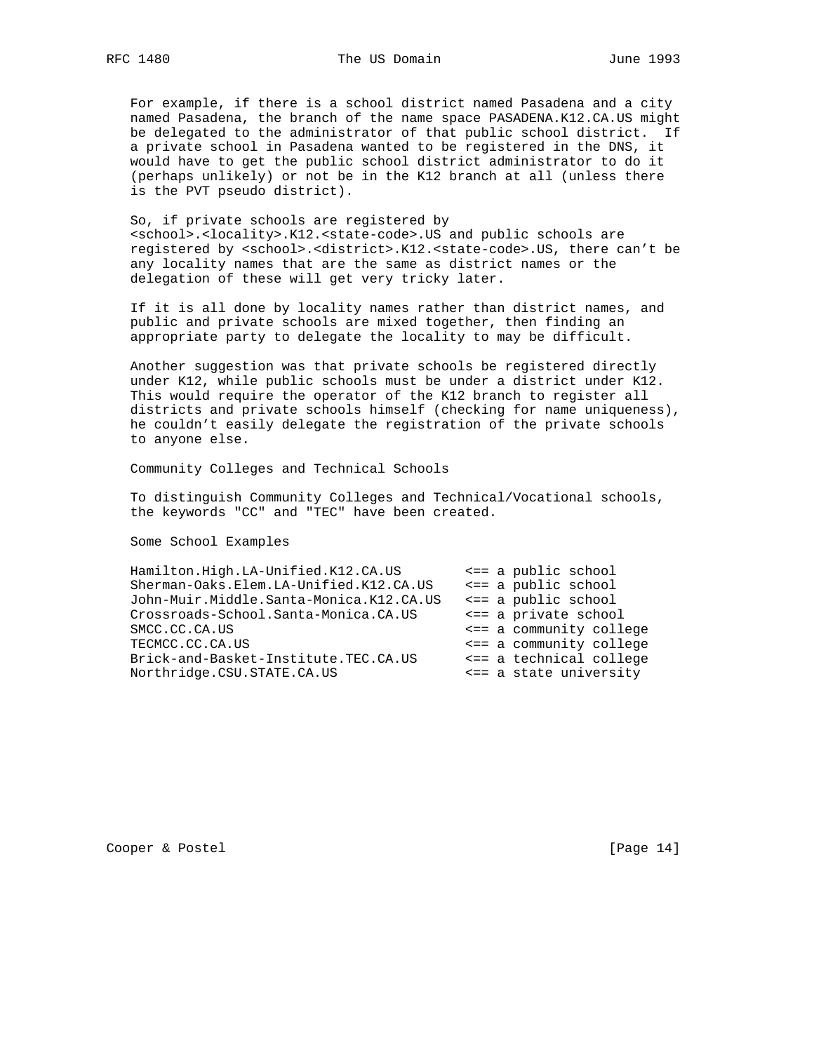For example, if there is a school district named Pasadena and a city named Pasadena, the branch of the name space PASADENA.K12.CA.US might be delegated to the administrator of that public school district. If a private school in Pasadena wanted to be registered in the DNS, it would have to get the public school district administrator to do it (perhaps unlikely) or not be in the K12 branch at all (unless there is the PVT pseudo district).

 So, if private schools are registered by <school>.<locality>.K12.<state-code>.US and public schools are registered by <school>.<district>.K12.<state-code>.US, there can't be any locality names that are the same as district names or the delegation of these will get very tricky later.

 If it is all done by locality names rather than district names, and public and private schools are mixed together, then finding an appropriate party to delegate the locality to may be difficult.

 Another suggestion was that private schools be registered directly under K12, while public schools must be under a district under K12. This would require the operator of the K12 branch to register all districts and private schools himself (checking for name uniqueness), he couldn't easily delegate the registration of the private schools to anyone else.

Community Colleges and Technical Schools

 To distinguish Community Colleges and Technical/Vocational schools, the keywords "CC" and "TEC" have been created.

Some School Examples

| Hamilton.High.LA-Unified.K12.CA.US      |  | <== a public school      |
|-----------------------------------------|--|--------------------------|
| Sherman-Oaks.Elem.LA-Unified.K12.CA.US  |  | <== a public school      |
| John-Muir.Middle.Santa-Monica.K12.CA.US |  | $\leq$ = a public school |
| Crossroads-School.Santa-Monica.CA.US    |  | <== a private school     |
| SMCC.CC.CA.US                           |  | <== a community college  |
| TECMCC.CC.CA.US                         |  | <== a community college  |
| Brick-and-Basket-Institute.TEC.CA.US    |  | <== a technical college  |
| Northridge.CSU.STATE.CA.US              |  | <== a state university   |
|                                         |  |                          |

Cooper & Postel [Page 14]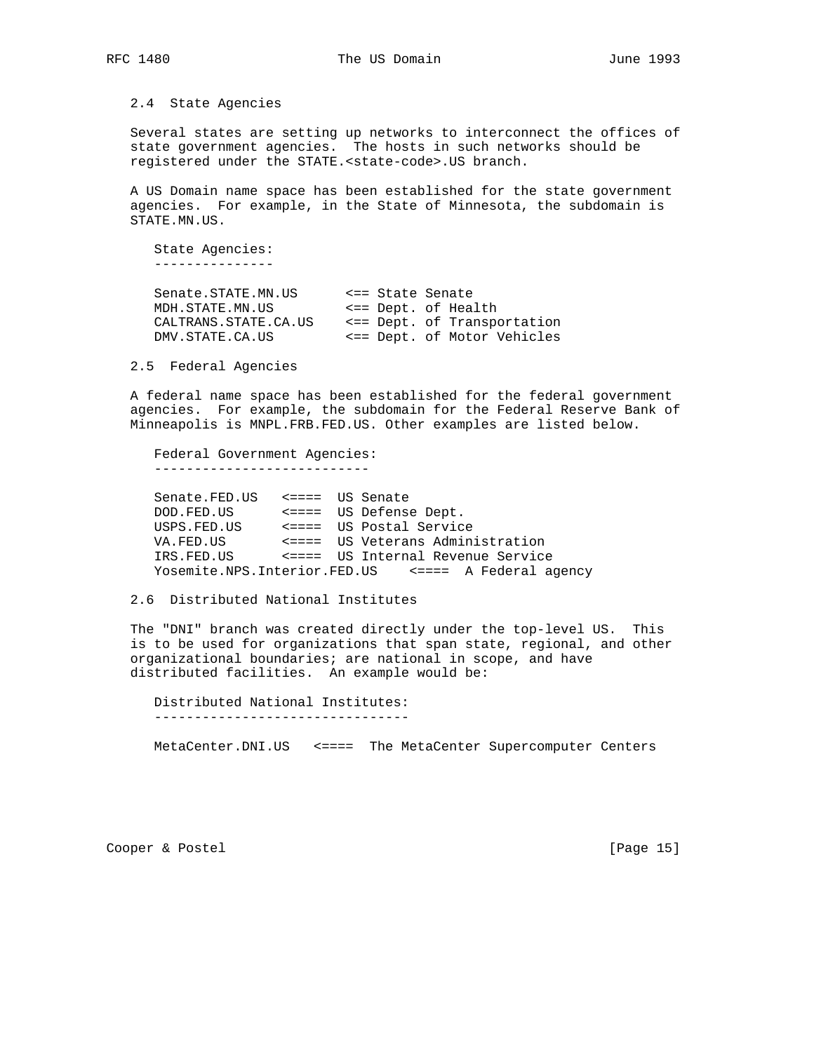2.4 State Agencies

 Several states are setting up networks to interconnect the offices of state government agencies. The hosts in such networks should be registered under the STATE.<state-code>.US branch.

 A US Domain name space has been established for the state government agencies. For example, in the State of Minnesota, the subdomain is STATE.MN.US.

 State Agencies: ---------------

| Senate.STATE.MN.US    | <== State Senate            |
|-----------------------|-----------------------------|
| MDH. STATE.MN.US      | <== Dept. of Health         |
| CALTRANS. STATE.CA.US | <== Dept. of Transportation |
| DMV.STATE.CA.US       | <== Dept. of Motor Vehicles |

2.5 Federal Agencies

 A federal name space has been established for the federal government agencies. For example, the subdomain for the Federal Reserve Bank of Minneapolis is MNPL.FRB.FED.US. Other examples are listed below.

 Federal Government Agencies: ---------------------------

 Senate.FED.US <==== US Senate DOD.FED.US <==== US Defense Dept. USPS.FED.US <==== US Postal Service VA.FED.US <==== US Veterans Administration IRS.FED.US <==== US Internal Revenue Service Yosemite.NPS.Interior.FED.US <==== A Federal agency

2.6 Distributed National Institutes

 The "DNI" branch was created directly under the top-level US. This is to be used for organizations that span state, regional, and other organizational boundaries; are national in scope, and have distributed facilities. An example would be:

 Distributed National Institutes: --------------------------------

MetaCenter.DNI.US <==== The MetaCenter Supercomputer Centers

Cooper & Postel [Page 15]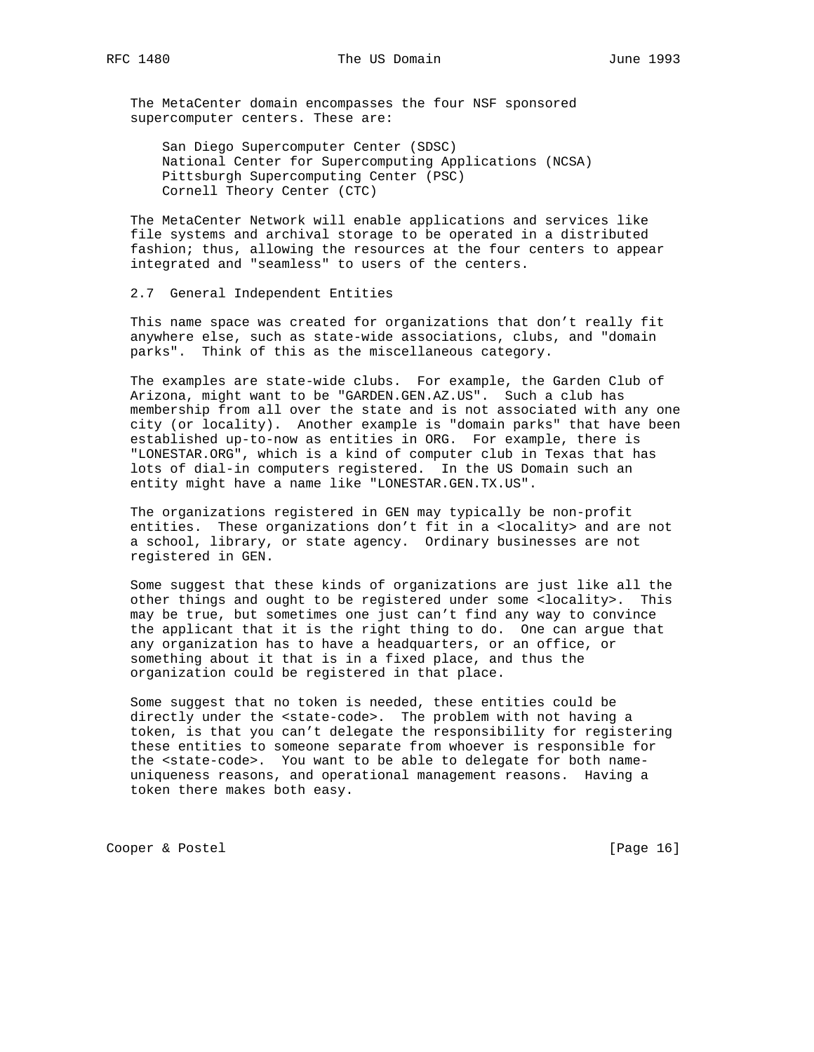The MetaCenter domain encompasses the four NSF sponsored supercomputer centers. These are:

 San Diego Supercomputer Center (SDSC) National Center for Supercomputing Applications (NCSA) Pittsburgh Supercomputing Center (PSC) Cornell Theory Center (CTC)

 The MetaCenter Network will enable applications and services like file systems and archival storage to be operated in a distributed fashion; thus, allowing the resources at the four centers to appear integrated and "seamless" to users of the centers.

2.7 General Independent Entities

 This name space was created for organizations that don't really fit anywhere else, such as state-wide associations, clubs, and "domain parks". Think of this as the miscellaneous category.

 The examples are state-wide clubs. For example, the Garden Club of Arizona, might want to be "GARDEN.GEN.AZ.US". Such a club has membership from all over the state and is not associated with any one city (or locality). Another example is "domain parks" that have been established up-to-now as entities in ORG. For example, there is "LONESTAR.ORG", which is a kind of computer club in Texas that has lots of dial-in computers registered. In the US Domain such an entity might have a name like "LONESTAR.GEN.TX.US".

 The organizations registered in GEN may typically be non-profit entities. These organizations don't fit in a <locality> and are not a school, library, or state agency. Ordinary businesses are not registered in GEN.

 Some suggest that these kinds of organizations are just like all the other things and ought to be registered under some <locality>. This may be true, but sometimes one just can't find any way to convince the applicant that it is the right thing to do. One can argue that any organization has to have a headquarters, or an office, or something about it that is in a fixed place, and thus the organization could be registered in that place.

 Some suggest that no token is needed, these entities could be directly under the <state-code>. The problem with not having a token, is that you can't delegate the responsibility for registering these entities to someone separate from whoever is responsible for the <state-code>. You want to be able to delegate for both name uniqueness reasons, and operational management reasons. Having a token there makes both easy.

Cooper & Postel [Page 16]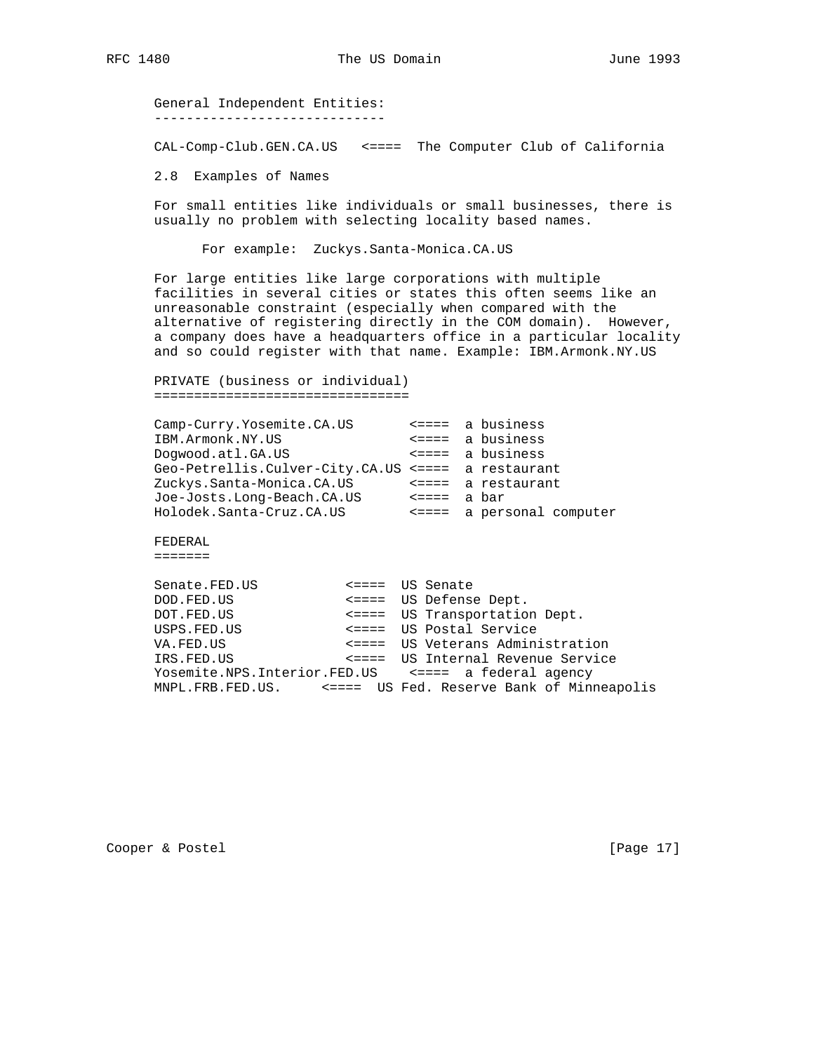General Independent Entities: -----------------------------

CAL-Comp-Club.GEN.CA.US <==== The Computer Club of California

2.8 Examples of Names

 For small entities like individuals or small businesses, there is usually no problem with selecting locality based names.

For example: Zuckys.Santa-Monica.CA.US

 For large entities like large corporations with multiple facilities in several cities or states this often seems like an unreasonable constraint (especially when compared with the alternative of registering directly in the COM domain). However, a company does have a headquarters office in a particular locality and so could register with that name. Example: IBM.Armonk.NY.US

 PRIVATE (business or individual) ================================

| Camp-Curry. Yosemite. CA.US                        |                       | $\leftarrow ==$ a business   |
|----------------------------------------------------|-----------------------|------------------------------|
| IBM.Armonk.NY.US                                   |                       | $\leftarrow ==$ a business   |
| Dogwood.atl.GA.US                                  |                       | $\leftarrow ==$ a business   |
| Geo-Petrellis.Culver-City.CA.US <==== a restaurant |                       |                              |
| Zuckys.Santa-Monica.CA.US                          |                       | $\epsilon$ ==== a restaurant |
| Joe-Josts.Long-Beach.CA.US                         | $\epsilon$ ==== a bar |                              |
| Holodek.Santa-Cruz.CA.US                           |                       | <==== a personal computer    |
|                                                    |                       |                              |

FEDERAL

=======

```
 Senate.FED.US <==== US Senate
 DOD.FED.US <==== US Defense Dept.
 DOT.FED.US <==== US Transportation Dept.
 USPS.FED.US <==== US Postal Service
 VA.FED.US <==== US Veterans Administration
 IRS.FED.US <==== US Internal Revenue Service
    Yosemite.NPS.Interior.FED.US <==== a federal agency
     MNPL.FRB.FED.US. <==== US Fed. Reserve Bank of Minneapolis
```
Cooper & Postel [Page 17]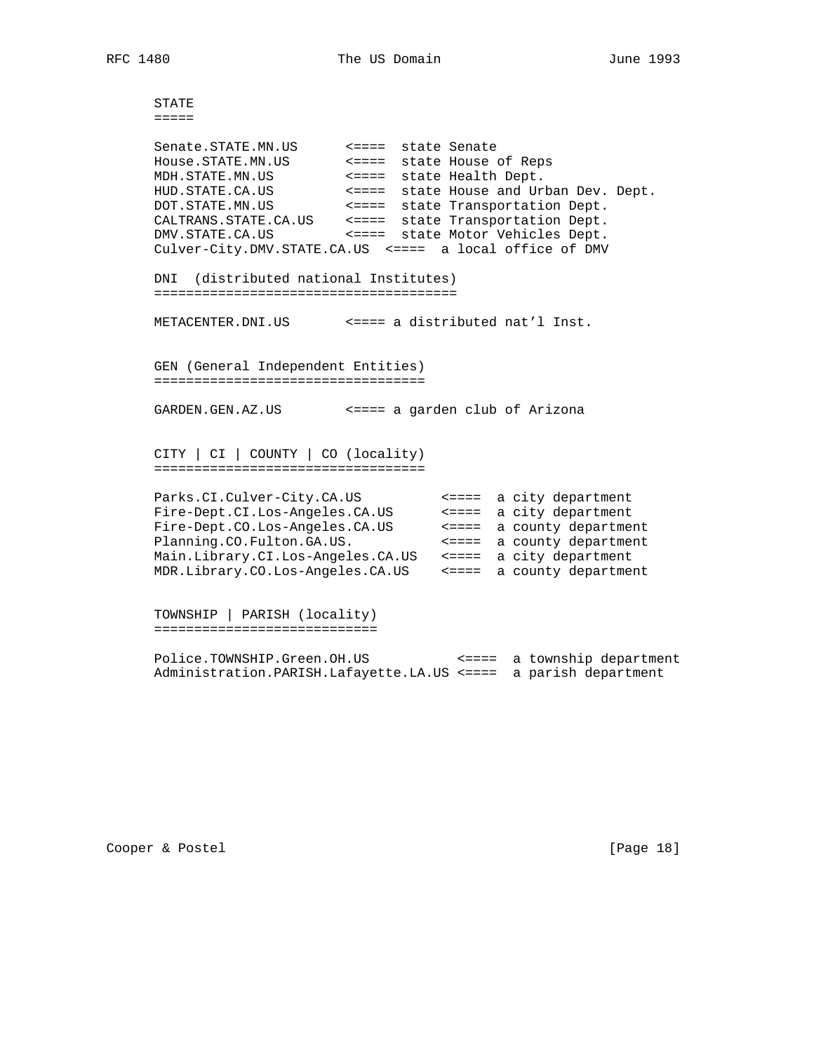STATE ===== Senate.STATE.MN.US <==== state Senate House.STATE.MN.US <==== state House of Reps MDH.STATE.MN.US <==== state Health Dept. HUD.STATE.CA.US <==== state House and Urban Dev. Dept. DOT.STATE.MN.US <==== state Transportation Dept. CALTRANS.STATE.CA.US <==== state Transportation Dept. DMV.STATE.CA.US <==== state Motor Vehicles Dept. Culver-City.DMV.STATE.CA.US <==== a local office of DMV DNI (distributed national Institutes) ====================================== METACENTER.DNI.US <==== a distributed nat'l Inst. GEN (General Independent Entities) ================================== GARDEN.GEN.AZ.US <==== a garden club of Arizona CITY | CI | COUNTY | CO (locality) ================================== Parks.CI.Culver-City.CA.US <==== a city department Fire-Dept.CI.Los-Angeles.CA.US <==== a city department Fire-Dept.CO.Los-Angeles.CA.US <==== a county department Planning.CO.Fulton.GA.US. <==== a county department Main.Library.CI.Los-Angeles.CA.US <==== a city department MDR.Library.CO.Los-Angeles.CA.US <==== a county department

 TOWNSHIP | PARISH (locality) ============================

 Police.TOWNSHIP.Green.OH.US <==== a township department Administration.PARISH.Lafayette.LA.US <==== a parish department

Cooper & Postel [Page 18]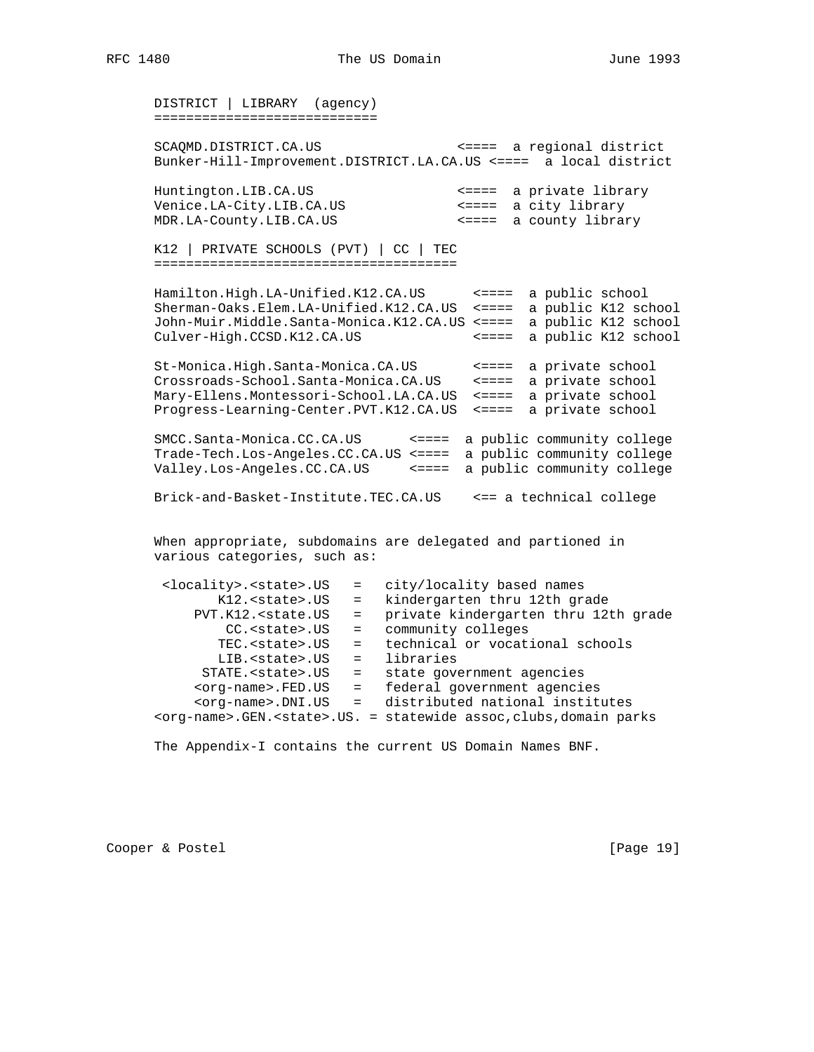DISTRICT | LIBRARY (agency)

 ============================ SCAQMD.DISTRICT.CA.US <==== a regional district Bunker-Hill-Improvement.DISTRICT.LA.CA.US <==== a local district Huntington.LIB.CA.US <==== a private library Numering contract in the CA.US<br>
Venice.LA-City.LIB.CA.US<br>
We have a city library<br>  $\epsilon = -2$  a county library MDR.LA-County.LIB.CA.US <==== a county library K12 | PRIVATE SCHOOLS (PVT) | CC | TEC ====================================== Hamilton.High.LA-Unified.K12.CA.US <==== a public school Sherman-Oaks.Elem.LA-Unified.K12.CA.US <==== a public K12 school John-Muir.Middle.Santa-Monica.K12.CA.US <==== a public K12 school Culver-High.CCSD.K12.CA.US <==== a public K12 school St-Monica.High.Santa-Monica.CA.US <==== a private school Crossroads-School.Santa-Monica.CA.US <==== a private school Mary-Ellens.Montessori-School.LA.CA.US <==== a private school Progress-Learning-Center.PVT.K12.CA.US <==== a private school SMCC.Santa-Monica.CC.CA.US <==== a public community college Trade-Tech.Los-Angeles.CC.CA.US <==== a public community college Valley.Los-Angeles.CC.CA.US <==== a public community college Brick-and-Basket-Institute.TEC.CA.US <== a technical college When appropriate, subdomains are delegated and partioned in various categories, such as: <locality>.<state>.US = city/locality based names K12.<state>.US = kindergarten thru 12th grade PVT.K12.<state.US = private kindergarten thru 12th grade CC.<state>.US = community colleges TEC.<state>.US = technical or vocational schools LIB.<state>.US = libraries STATE.<state>.US = state government agencies <org-name>.FED.US = federal government agencies <org-name>.DNI.US = distributed national institutes

<org-name>.GEN.<state>.US. = statewide assoc,clubs,domain parks

The Appendix-I contains the current US Domain Names BNF.

Cooper & Postel [Page 19]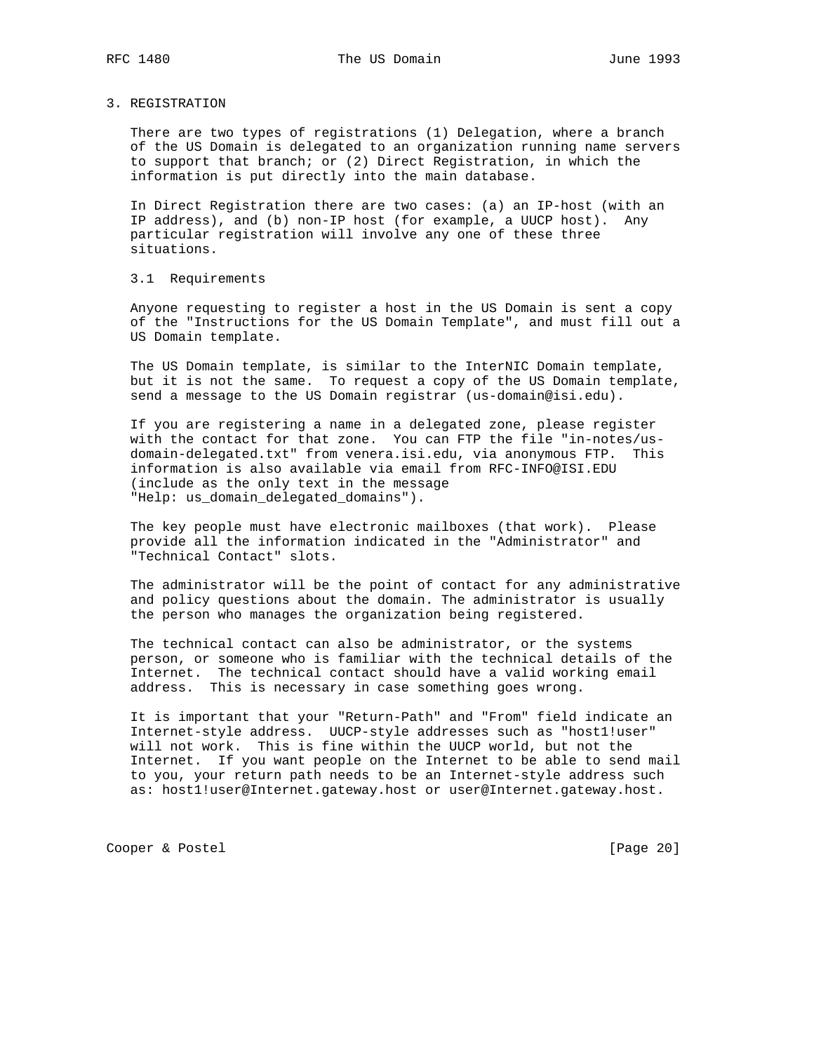#### 3. REGISTRATION

 There are two types of registrations (1) Delegation, where a branch of the US Domain is delegated to an organization running name servers to support that branch; or (2) Direct Registration, in which the information is put directly into the main database.

 In Direct Registration there are two cases: (a) an IP-host (with an IP address), and (b) non-IP host (for example, a UUCP host). Any particular registration will involve any one of these three situations.

3.1 Requirements

 Anyone requesting to register a host in the US Domain is sent a copy of the "Instructions for the US Domain Template", and must fill out a US Domain template.

 The US Domain template, is similar to the InterNIC Domain template, but it is not the same. To request a copy of the US Domain template, send a message to the US Domain registrar (us-domain@isi.edu).

 If you are registering a name in a delegated zone, please register with the contact for that zone. You can FTP the file "in-notes/us domain-delegated.txt" from venera.isi.edu, via anonymous FTP. This information is also available via email from RFC-INFO@ISI.EDU (include as the only text in the message "Help: us\_domain\_delegated\_domains").

 The key people must have electronic mailboxes (that work). Please provide all the information indicated in the "Administrator" and "Technical Contact" slots.

 The administrator will be the point of contact for any administrative and policy questions about the domain. The administrator is usually the person who manages the organization being registered.

 The technical contact can also be administrator, or the systems person, or someone who is familiar with the technical details of the Internet. The technical contact should have a valid working email address. This is necessary in case something goes wrong.

 It is important that your "Return-Path" and "From" field indicate an Internet-style address. UUCP-style addresses such as "host1!user" will not work. This is fine within the UUCP world, but not the Internet. If you want people on the Internet to be able to send mail to you, your return path needs to be an Internet-style address such as: host1!user@Internet.gateway.host or user@Internet.gateway.host.

Cooper & Postel [Page 20]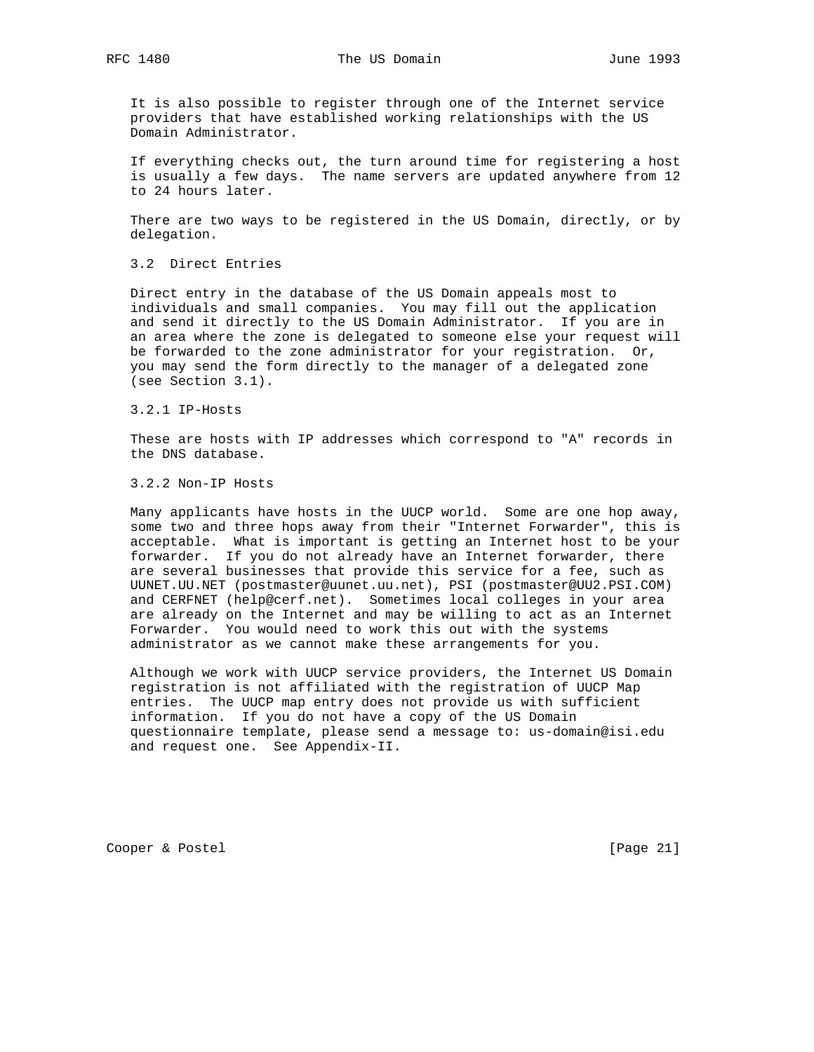It is also possible to register through one of the Internet service providers that have established working relationships with the US Domain Administrator.

 If everything checks out, the turn around time for registering a host is usually a few days. The name servers are updated anywhere from 12 to 24 hours later.

 There are two ways to be registered in the US Domain, directly, or by delegation.

### 3.2 Direct Entries

 Direct entry in the database of the US Domain appeals most to individuals and small companies. You may fill out the application and send it directly to the US Domain Administrator. If you are in an area where the zone is delegated to someone else your request will be forwarded to the zone administrator for your registration. Or, you may send the form directly to the manager of a delegated zone (see Section 3.1).

### 3.2.1 IP-Hosts

 These are hosts with IP addresses which correspond to "A" records in the DNS database.

## 3.2.2 Non-IP Hosts

 Many applicants have hosts in the UUCP world. Some are one hop away, some two and three hops away from their "Internet Forwarder", this is acceptable. What is important is getting an Internet host to be your forwarder. If you do not already have an Internet forwarder, there are several businesses that provide this service for a fee, such as UUNET.UU.NET (postmaster@uunet.uu.net), PSI (postmaster@UU2.PSI.COM) and CERFNET (help@cerf.net). Sometimes local colleges in your area are already on the Internet and may be willing to act as an Internet Forwarder. You would need to work this out with the systems administrator as we cannot make these arrangements for you.

 Although we work with UUCP service providers, the Internet US Domain registration is not affiliated with the registration of UUCP Map entries. The UUCP map entry does not provide us with sufficient information. If you do not have a copy of the US Domain questionnaire template, please send a message to: us-domain@isi.edu and request one. See Appendix-II.

Cooper & Postel [Page 21]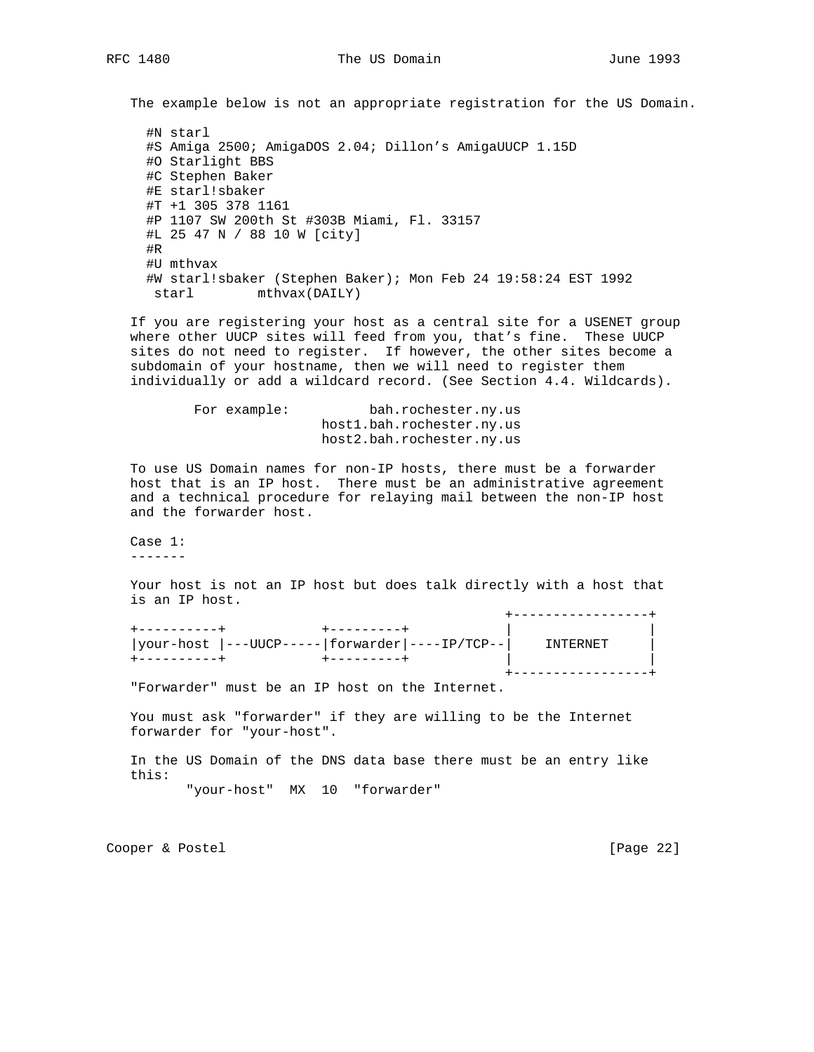The example below is not an appropriate registration for the US Domain. #N starl #S Amiga 2500; AmigaDOS 2.04; Dillon's AmigaUUCP 1.15D #O Starlight BBS #C Stephen Baker #E starl!sbaker #T +1 305 378 1161 #P 1107 SW 200th St #303B Miami, Fl. 33157 #L 25 47 N / 88 10 W [city] #R #U mthvax #W starl!sbaker (Stephen Baker); Mon Feb 24 19:58:24 EST 1992 starl mthvax(DAILY)

 If you are registering your host as a central site for a USENET group where other UUCP sites will feed from you, that's fine. These UUCP sites do not need to register. If however, the other sites become a subdomain of your hostname, then we will need to register them individually or add a wildcard record. (See Section 4.4. Wildcards).

> For example: bah.rochester.ny.us host1.bah.rochester.ny.us host2.bah.rochester.ny.us

 To use US Domain names for non-IP hosts, there must be a forwarder host that is an IP host. There must be an administrative agreement and a technical procedure for relaying mail between the non-IP host and the forwarder host.

 Case 1: -------

 Your host is not an IP host but does talk directly with a host that is an IP host.

| $ your-host  ---UUCP--- forwarder  ---IP/TCP-- $ |  | TNTERNET |
|--------------------------------------------------|--|----------|
|                                                  |  |          |

"Forwarder" must be an IP host on the Internet.

 You must ask "forwarder" if they are willing to be the Internet forwarder for "your-host".

 In the US Domain of the DNS data base there must be an entry like this:

"your-host" MX 10 "forwarder"

Cooper & Postel [Page 22]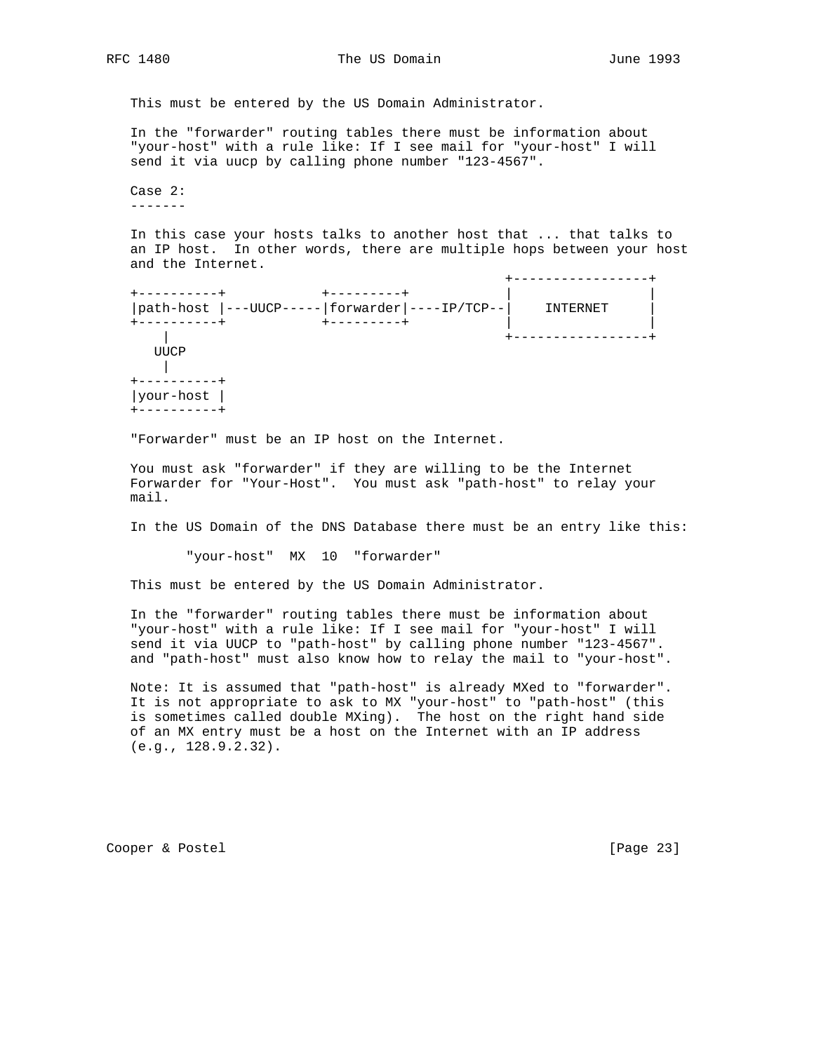+-----------------+

This must be entered by the US Domain Administrator.

 In the "forwarder" routing tables there must be information about "your-host" with a rule like: If I see mail for "your-host" I will send it via uucp by calling phone number "123-4567".

 Case 2: -------

 In this case your hosts talks to another host that ... that talks to an IP host. In other words, there are multiple hops between your host and the Internet.

| ---------+<br>---------+<br><b>TITICP</b> | -------<br> path-host | ---UUCP----- forwarder ----IP/TCP-- |  | TNTERNET |
|-------------------------------------------|-----------------------|-------------------------------------|--|----------|
|                                           |                       |                                     |  |          |

"Forwarder" must be an IP host on the Internet.

 You must ask "forwarder" if they are willing to be the Internet Forwarder for "Your-Host". You must ask "path-host" to relay your mail.

In the US Domain of the DNS Database there must be an entry like this:

"your-host" MX 10 "forwarder"

This must be entered by the US Domain Administrator.

 In the "forwarder" routing tables there must be information about "your-host" with a rule like: If I see mail for "your-host" I will send it via UUCP to "path-host" by calling phone number "123-4567". and "path-host" must also know how to relay the mail to "your-host".

 Note: It is assumed that "path-host" is already MXed to "forwarder". It is not appropriate to ask to MX "your-host" to "path-host" (this is sometimes called double MXing). The host on the right hand side of an MX entry must be a host on the Internet with an IP address (e.g., 128.9.2.32).

Cooper & Postel [Page 23]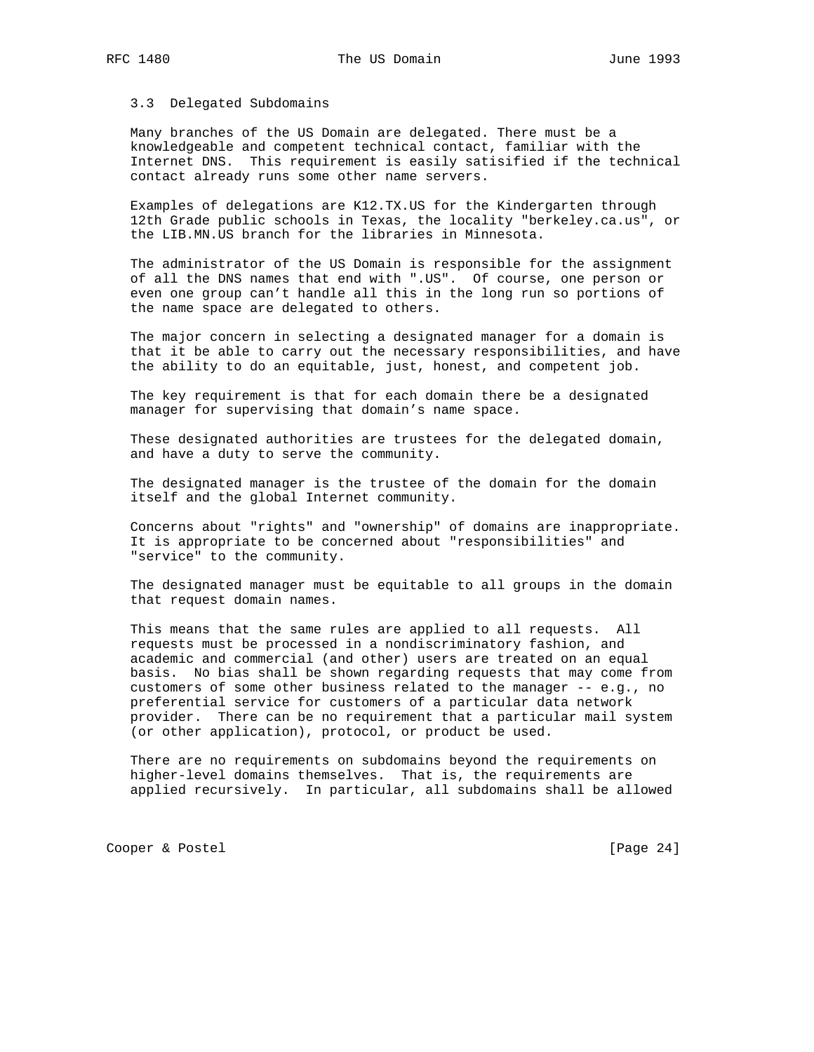### 3.3 Delegated Subdomains

 Many branches of the US Domain are delegated. There must be a knowledgeable and competent technical contact, familiar with the Internet DNS. This requirement is easily satisified if the technical contact already runs some other name servers.

 Examples of delegations are K12.TX.US for the Kindergarten through 12th Grade public schools in Texas, the locality "berkeley.ca.us", or the LIB.MN.US branch for the libraries in Minnesota.

 The administrator of the US Domain is responsible for the assignment of all the DNS names that end with ".US". Of course, one person or even one group can't handle all this in the long run so portions of the name space are delegated to others.

 The major concern in selecting a designated manager for a domain is that it be able to carry out the necessary responsibilities, and have the ability to do an equitable, just, honest, and competent job.

 The key requirement is that for each domain there be a designated manager for supervising that domain's name space.

 These designated authorities are trustees for the delegated domain, and have a duty to serve the community.

 The designated manager is the trustee of the domain for the domain itself and the global Internet community.

 Concerns about "rights" and "ownership" of domains are inappropriate. It is appropriate to be concerned about "responsibilities" and "service" to the community.

 The designated manager must be equitable to all groups in the domain that request domain names.

 This means that the same rules are applied to all requests. All requests must be processed in a nondiscriminatory fashion, and academic and commercial (and other) users are treated on an equal basis. No bias shall be shown regarding requests that may come from customers of some other business related to the manager -- e.g., no preferential service for customers of a particular data network provider. There can be no requirement that a particular mail system (or other application), protocol, or product be used.

 There are no requirements on subdomains beyond the requirements on higher-level domains themselves. That is, the requirements are applied recursively. In particular, all subdomains shall be allowed

Cooper & Postel [Page 24]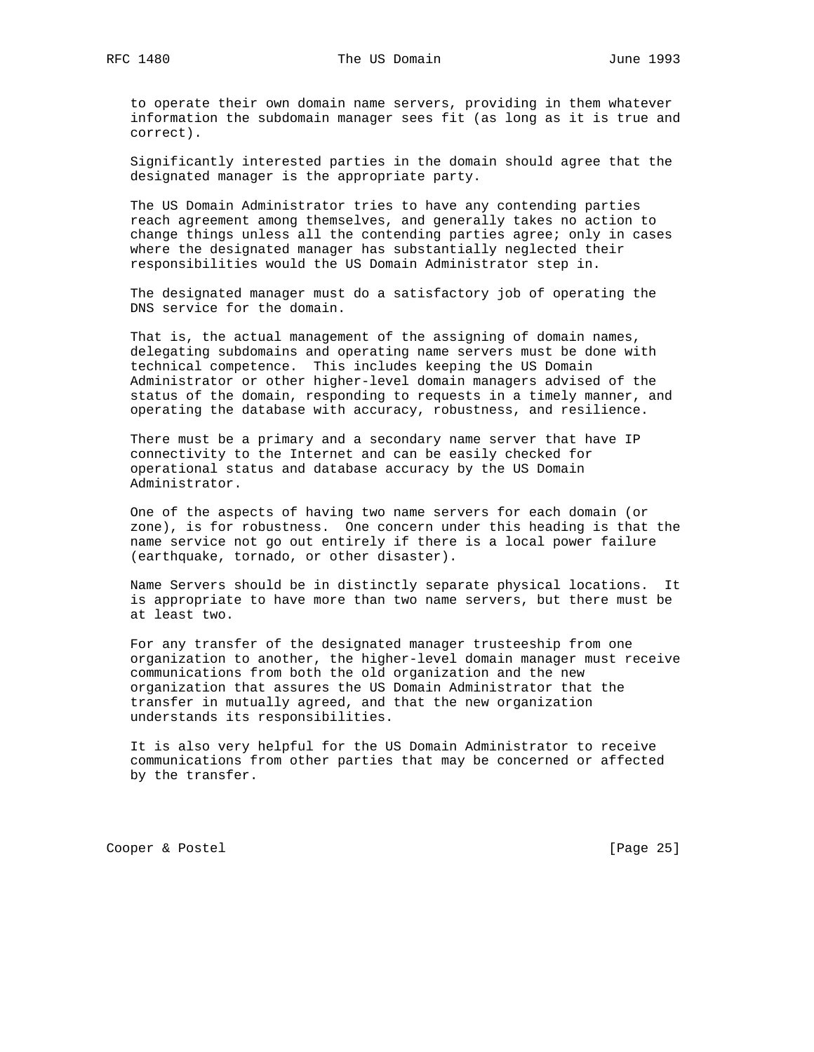to operate their own domain name servers, providing in them whatever information the subdomain manager sees fit (as long as it is true and correct).

 Significantly interested parties in the domain should agree that the designated manager is the appropriate party.

 The US Domain Administrator tries to have any contending parties reach agreement among themselves, and generally takes no action to change things unless all the contending parties agree; only in cases where the designated manager has substantially neglected their responsibilities would the US Domain Administrator step in.

 The designated manager must do a satisfactory job of operating the DNS service for the domain.

 That is, the actual management of the assigning of domain names, delegating subdomains and operating name servers must be done with technical competence. This includes keeping the US Domain Administrator or other higher-level domain managers advised of the status of the domain, responding to requests in a timely manner, and operating the database with accuracy, robustness, and resilience.

 There must be a primary and a secondary name server that have IP connectivity to the Internet and can be easily checked for operational status and database accuracy by the US Domain Administrator.

 One of the aspects of having two name servers for each domain (or zone), is for robustness. One concern under this heading is that the name service not go out entirely if there is a local power failure (earthquake, tornado, or other disaster).

 Name Servers should be in distinctly separate physical locations. It is appropriate to have more than two name servers, but there must be at least two.

 For any transfer of the designated manager trusteeship from one organization to another, the higher-level domain manager must receive communications from both the old organization and the new organization that assures the US Domain Administrator that the transfer in mutually agreed, and that the new organization understands its responsibilities.

 It is also very helpful for the US Domain Administrator to receive communications from other parties that may be concerned or affected by the transfer.

Cooper & Postel [Page 25]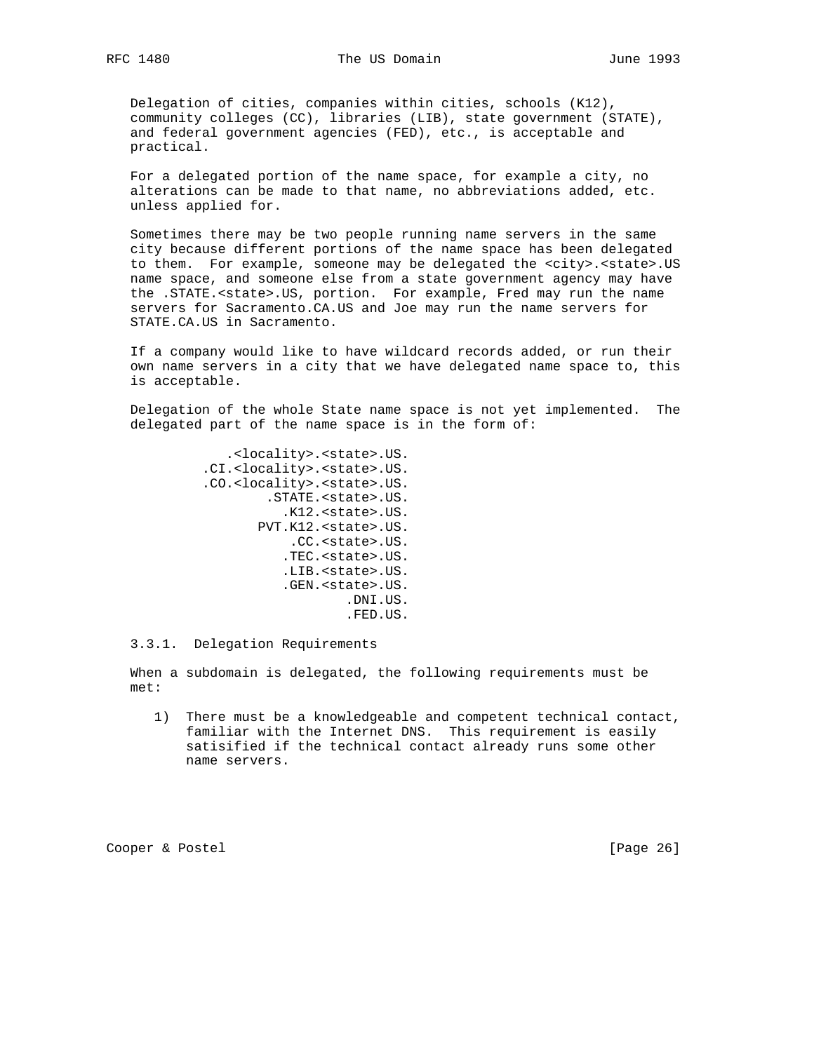Delegation of cities, companies within cities, schools (K12), community colleges (CC), libraries (LIB), state government (STATE), and federal government agencies (FED), etc., is acceptable and practical.

 For a delegated portion of the name space, for example a city, no alterations can be made to that name, no abbreviations added, etc. unless applied for.

 Sometimes there may be two people running name servers in the same city because different portions of the name space has been delegated to them. For example, someone may be delegated the <city>.<state>.US name space, and someone else from a state government agency may have the .STATE.<state>.US, portion. For example, Fred may run the name servers for Sacramento.CA.US and Joe may run the name servers for STATE.CA.US in Sacramento.

 If a company would like to have wildcard records added, or run their own name servers in a city that we have delegated name space to, this is acceptable.

 Delegation of the whole State name space is not yet implemented. The delegated part of the name space is in the form of:

> .<locality>.<state>.US. .CI.<locality>.<state>.US. .CO.<locality>.<state>.US. .STATE.<state>.US. .K12.<state>.US. PVT.K12.<state>.US. .CC.<state>.US. .TEC.<state>.US. .LIB.<state>.US. .GEN.<state>.US. .DNI.US. .FED.US.

3.3.1. Delegation Requirements

 When a subdomain is delegated, the following requirements must be met:

 1) There must be a knowledgeable and competent technical contact, familiar with the Internet DNS. This requirement is easily satisified if the technical contact already runs some other name servers.

Cooper & Postel [Page 26]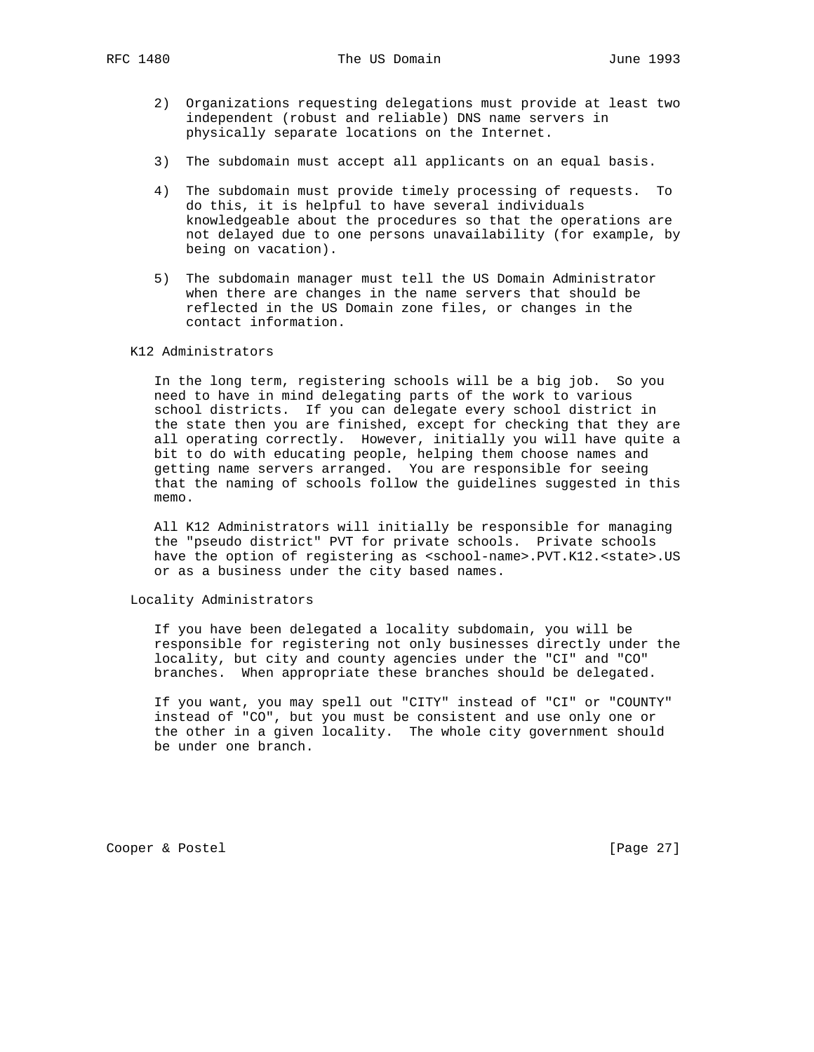- 2) Organizations requesting delegations must provide at least two independent (robust and reliable) DNS name servers in physically separate locations on the Internet.
- 3) The subdomain must accept all applicants on an equal basis.
- 4) The subdomain must provide timely processing of requests. To do this, it is helpful to have several individuals knowledgeable about the procedures so that the operations are not delayed due to one persons unavailability (for example, by being on vacation).
- 5) The subdomain manager must tell the US Domain Administrator when there are changes in the name servers that should be reflected in the US Domain zone files, or changes in the contact information.

## K12 Administrators

 In the long term, registering schools will be a big job. So you need to have in mind delegating parts of the work to various school districts. If you can delegate every school district in the state then you are finished, except for checking that they are all operating correctly. However, initially you will have quite a bit to do with educating people, helping them choose names and getting name servers arranged. You are responsible for seeing that the naming of schools follow the guidelines suggested in this memo.

 All K12 Administrators will initially be responsible for managing the "pseudo district" PVT for private schools. Private schools have the option of registering as <school-name>.PVT.K12.<state>.US or as a business under the city based names.

### Locality Administrators

 If you have been delegated a locality subdomain, you will be responsible for registering not only businesses directly under the locality, but city and county agencies under the "CI" and "CO" branches. When appropriate these branches should be delegated.

 If you want, you may spell out "CITY" instead of "CI" or "COUNTY" instead of "CO", but you must be consistent and use only one or the other in a given locality. The whole city government should be under one branch.

Cooper & Postel [Page 27]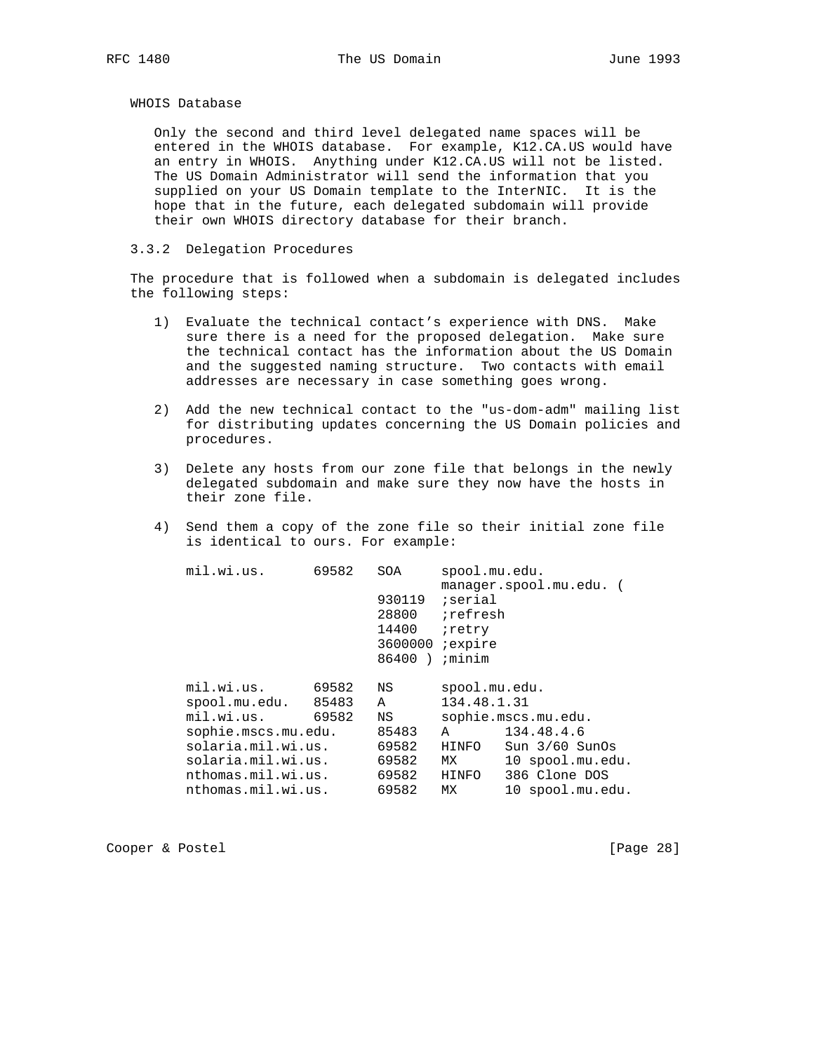# WHOIS Database

 Only the second and third level delegated name spaces will be entered in the WHOIS database. For example, K12.CA.US would have an entry in WHOIS. Anything under K12.CA.US will not be listed. The US Domain Administrator will send the information that you supplied on your US Domain template to the InterNIC. It is the hope that in the future, each delegated subdomain will provide their own WHOIS directory database for their branch.

## 3.3.2 Delegation Procedures

 The procedure that is followed when a subdomain is delegated includes the following steps:

- 1) Evaluate the technical contact's experience with DNS. Make sure there is a need for the proposed delegation. Make sure the technical contact has the information about the US Domain and the suggested naming structure. Two contacts with email addresses are necessary in case something goes wrong.
- 2) Add the new technical contact to the "us-dom-adm" mailing list for distributing updates concerning the US Domain policies and procedures.
- 3) Delete any hosts from our zone file that belongs in the newly delegated subdomain and make sure they now have the hosts in their zone file.
- 4) Send them a copy of the zone file so their initial zone file is identical to ours. For example:

| mil.wi.us.          | 69582 | SOA         | spool.mu.edu. |                         |
|---------------------|-------|-------------|---------------|-------------------------|
|                     |       |             |               | manager.spool.mu.edu. ( |
|                     |       | 930119      | iserial       |                         |
|                     |       | 28800       | irefresh      |                         |
|                     |       | 14400       | iretry        |                         |
|                     |       | 3600000     | iexpire       |                         |
|                     |       | 86400       | ;minim        |                         |
|                     |       |             |               |                         |
| mil.wi.us.          | 69582 | ΝS          | spool.mu.edu. |                         |
| spool.mu.edu.       | 85483 | $\mathbb A$ | 134.48.1.31   |                         |
| mil.wi.us.          | 69582 | NS          |               | sophie.mscs.mu.edu.     |
| sophie.mscs.mu.edu. |       | 85483       | Α             | 134.48.4.6              |
| solaria.mil.wi.us.  |       | 69582       | HINFO         | $Sun$ 3/60 SunOs        |
| solaria.mil.wi.us.  |       | 69582       | МX            | 10 spool.mu.edu.        |
| nthomas.mil.wi.us.  |       | 69582       | HINFO         | 386 Clone DOS           |
| nthomas.mil.wi.us.  |       | 69582       | MX.           | 10 spool.mu.edu.        |

Cooper & Postel [Page 28]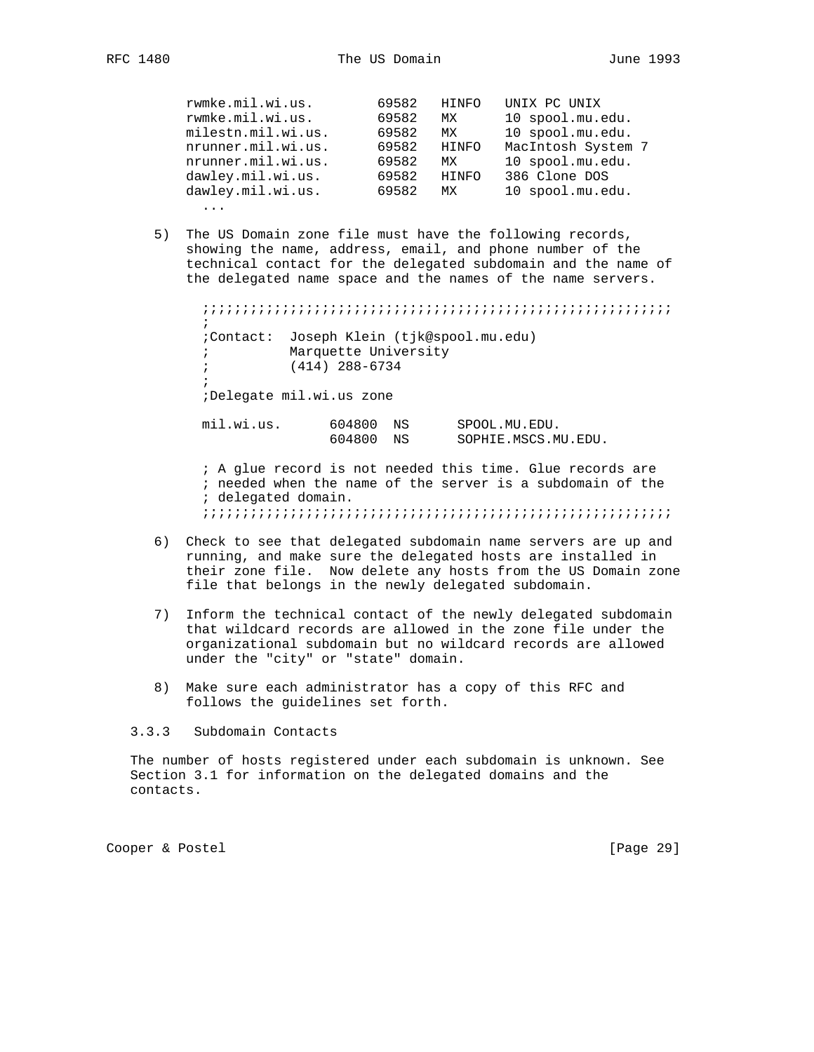| rwmke.mil.wi.us.   | 69582 | HINFO | UNIX PC UNIX       |
|--------------------|-------|-------|--------------------|
| rwmke.mil.wi.us.   | 69582 | MX    | 10 spool.mu.edu.   |
| milestn.mil.wi.us. | 69582 | MX    | 10 spool.mu.edu.   |
| nrunner.mil.wi.us. | 69582 | HINFO | MacIntosh System 7 |
| nrunner.mil.wi.us. | 69582 | MX    | 10 spool.mu.edu.   |
| dawley.mil.wi.us.  | 69582 | HINFO | 386 Clone DOS      |
| dawley.mil.wi.us.  | 69582 | MX    | 10 spool.mu.edu.   |
| $\cdots$           |       |       |                    |

 5) The US Domain zone file must have the following records, showing the name, address, email, and phone number of the technical contact for the delegated subdomain and the name of the delegated name space and the names of the name servers.

 ;;;;;;;;;;;;;;;;;;;;;;;;;;;;;;;;;;;;;;;;;;;;;;;;;;;;;;;;;;;  $\mathcal{L}^{\text{max}}$  ;Contact: Joseph Klein (tjk@spool.mu.edu) ; Marquette University ; (414) 288-6734  $\mathcal{L}^{\text{max}}$  ;Delegate mil.wi.us zone mil.wi.us. 604800 NS SPOOL.MU.EDU.<br>604800 NS SOPHIE.MSCS.M 604800 NS SOPHIE.MSCS.MU.EDU. ; A glue record is not needed this time. Glue records are

 ; needed when the name of the server is a subdomain of the ; delegated domain. ;;;;;;;;;;;;;;;;;;;;;;;;;;;;;;;;;;;;;;;;;;;;;;;;;;;;;;;;;;;

- 6) Check to see that delegated subdomain name servers are up and running, and make sure the delegated hosts are installed in their zone file. Now delete any hosts from the US Domain zone file that belongs in the newly delegated subdomain.
- 7) Inform the technical contact of the newly delegated subdomain that wildcard records are allowed in the zone file under the organizational subdomain but no wildcard records are allowed under the "city" or "state" domain.
- 8) Make sure each administrator has a copy of this RFC and follows the guidelines set forth.

# 3.3.3 Subdomain Contacts

 The number of hosts registered under each subdomain is unknown. See Section 3.1 for information on the delegated domains and the contacts.

Cooper & Postel [Page 29]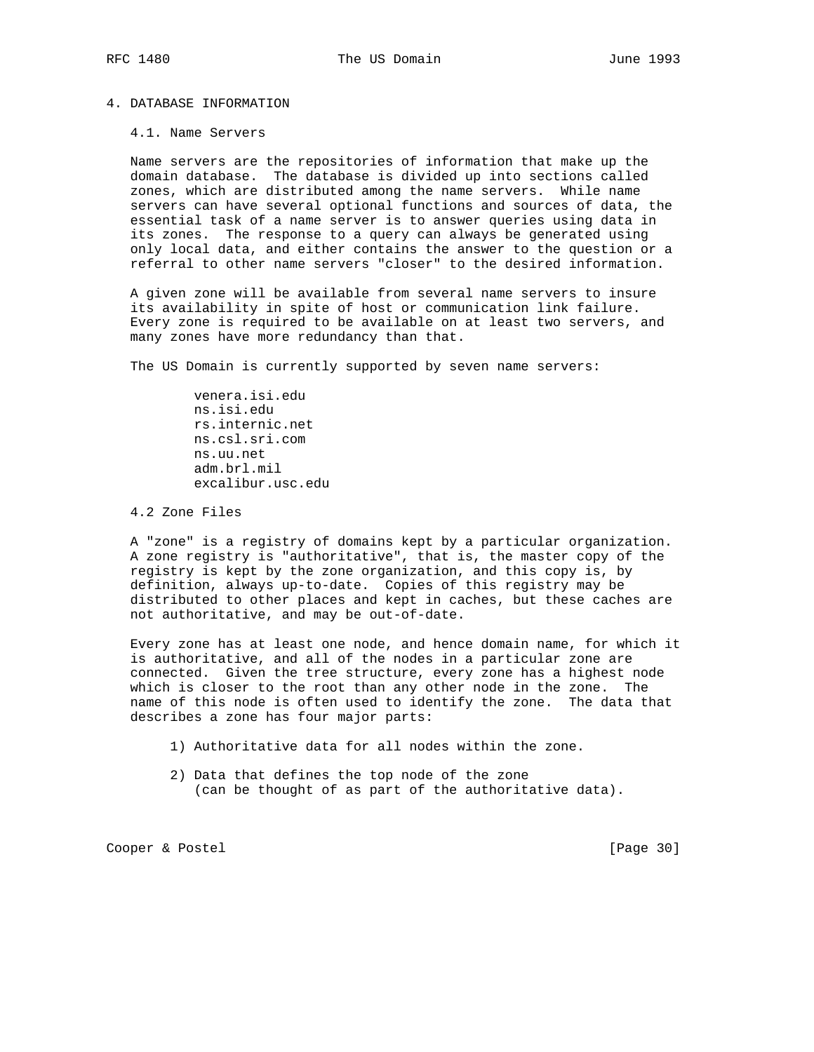# 4. DATABASE INFORMATION

#### 4.1. Name Servers

 Name servers are the repositories of information that make up the domain database. The database is divided up into sections called zones, which are distributed among the name servers. While name servers can have several optional functions and sources of data, the essential task of a name server is to answer queries using data in its zones. The response to a query can always be generated using only local data, and either contains the answer to the question or a referral to other name servers "closer" to the desired information.

 A given zone will be available from several name servers to insure its availability in spite of host or communication link failure. Every zone is required to be available on at least two servers, and many zones have more redundancy than that.

The US Domain is currently supported by seven name servers:

 venera.isi.edu ns.isi.edu rs.internic.net ns.csl.sri.com ns.uu.net adm.brl.mil excalibur.usc.edu

4.2 Zone Files

 A "zone" is a registry of domains kept by a particular organization. A zone registry is "authoritative", that is, the master copy of the registry is kept by the zone organization, and this copy is, by definition, always up-to-date. Copies of this registry may be distributed to other places and kept in caches, but these caches are not authoritative, and may be out-of-date.

 Every zone has at least one node, and hence domain name, for which it is authoritative, and all of the nodes in a particular zone are connected. Given the tree structure, every zone has a highest node which is closer to the root than any other node in the zone. The name of this node is often used to identify the zone. The data that describes a zone has four major parts:

- 1) Authoritative data for all nodes within the zone.
- 2) Data that defines the top node of the zone (can be thought of as part of the authoritative data).

Cooper & Postel [Page 30]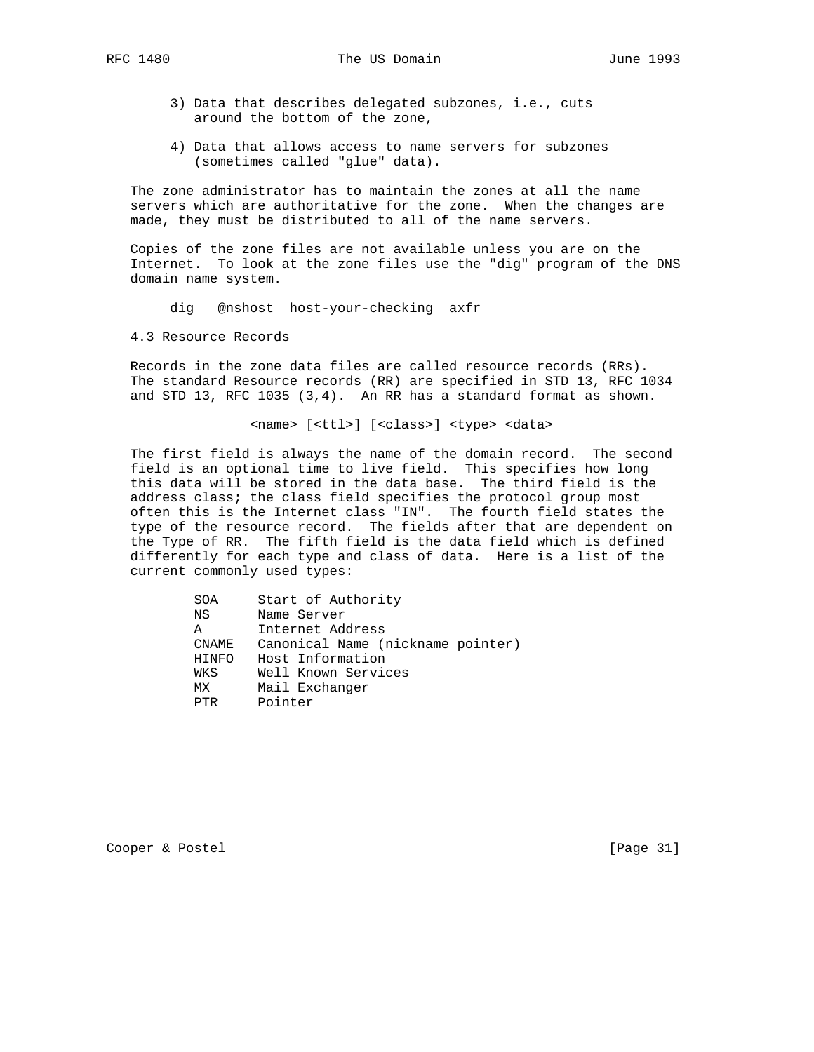- 3) Data that describes delegated subzones, i.e., cuts around the bottom of the zone,
- 4) Data that allows access to name servers for subzones (sometimes called "glue" data).

 The zone administrator has to maintain the zones at all the name servers which are authoritative for the zone. When the changes are made, they must be distributed to all of the name servers.

 Copies of the zone files are not available unless you are on the Internet. To look at the zone files use the "dig" program of the DNS domain name system.

dig @nshost host-your-checking axfr

4.3 Resource Records

 Records in the zone data files are called resource records (RRs). The standard Resource records (RR) are specified in STD 13, RFC 1034 and STD 13, RFC 1035 (3,4). An RR has a standard format as shown.

# <name> [<ttl>] [<class>] <type> <data>

 The first field is always the name of the domain record. The second field is an optional time to live field. This specifies how long this data will be stored in the data base. The third field is the address class; the class field specifies the protocol group most often this is the Internet class "IN". The fourth field states the type of the resource record. The fields after that are dependent on the Type of RR. The fifth field is the data field which is defined differently for each type and class of data. Here is a list of the current commonly used types:

| SOA   | Start of Authority                |
|-------|-----------------------------------|
| ΝS    | Name Server                       |
| А     | Internet Address                  |
| CNAME | Canonical Name (nickname pointer) |
| HINFO | Host Information                  |
| WKS   | Well Known Services               |
| МX    | Mail Exchanger                    |
| PTR   | Pointer                           |

Cooper & Postel [Page 31]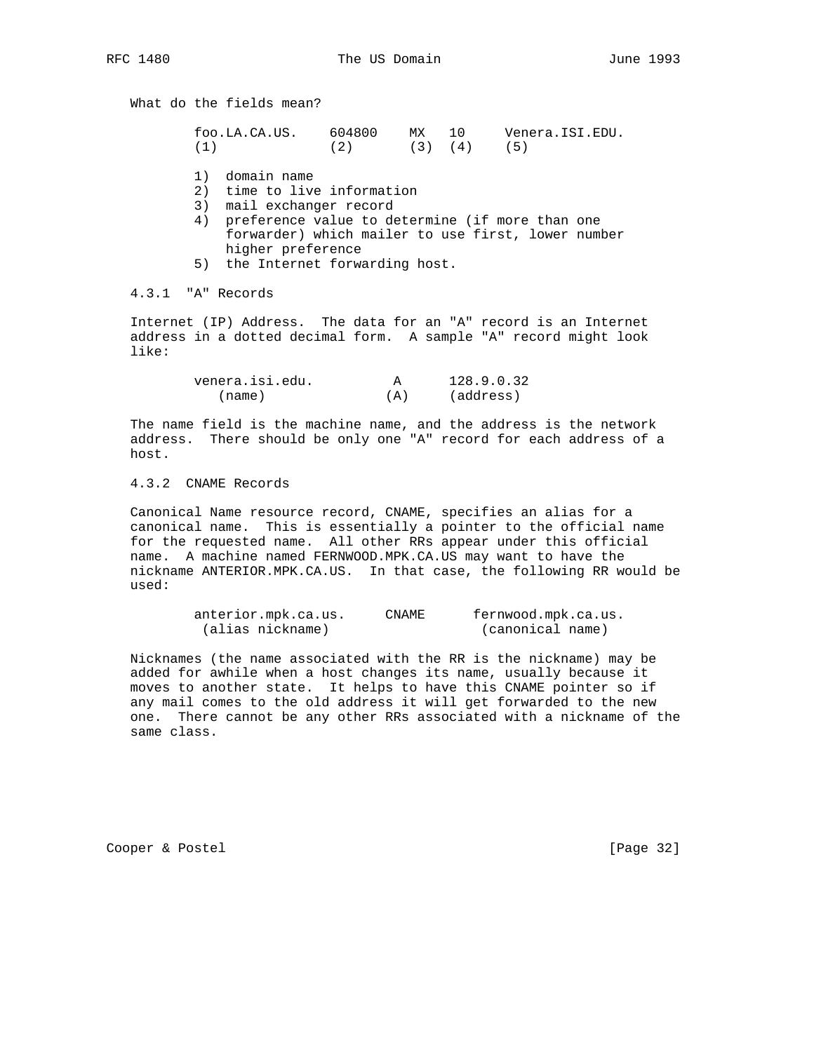What do the fields mean?

|  |                   | foo.LA.CA.US. 604800 MX 10 Venera.ISI.EDU. |
|--|-------------------|--------------------------------------------|
|  | $(3)$ $(4)$ $(5)$ |                                            |

- 1) domain name
- 2) time to live information
- 3) mail exchanger record
- 4) preference value to determine (if more than one forwarder) which mailer to use first, lower number higher preference
- 5) the Internet forwarding host.

# 4.3.1 "A" Records

 Internet (IP) Address. The data for an "A" record is an Internet address in a dotted decimal form. A sample "A" record might look like:

| venera.isi.edu. |     | 128.9.0.32 |
|-----------------|-----|------------|
| (name)          | (A) | (address)  |

 The name field is the machine name, and the address is the network address. There should be only one "A" record for each address of a host.

# 4.3.2 CNAME Records

 Canonical Name resource record, CNAME, specifies an alias for a canonical name. This is essentially a pointer to the official name for the requested name. All other RRs appear under this official name. A machine named FERNWOOD.MPK.CA.US may want to have the nickname ANTERIOR.MPK.CA.US. In that case, the following RR would be used:

| anterior.mpk.ca.us. | CNAME | fernwood.mpk.ca.us. |
|---------------------|-------|---------------------|
| (alias nickname)    |       | (canonical name)    |

 Nicknames (the name associated with the RR is the nickname) may be added for awhile when a host changes its name, usually because it moves to another state. It helps to have this CNAME pointer so if any mail comes to the old address it will get forwarded to the new one. There cannot be any other RRs associated with a nickname of the same class.

Cooper & Postel [Page 32]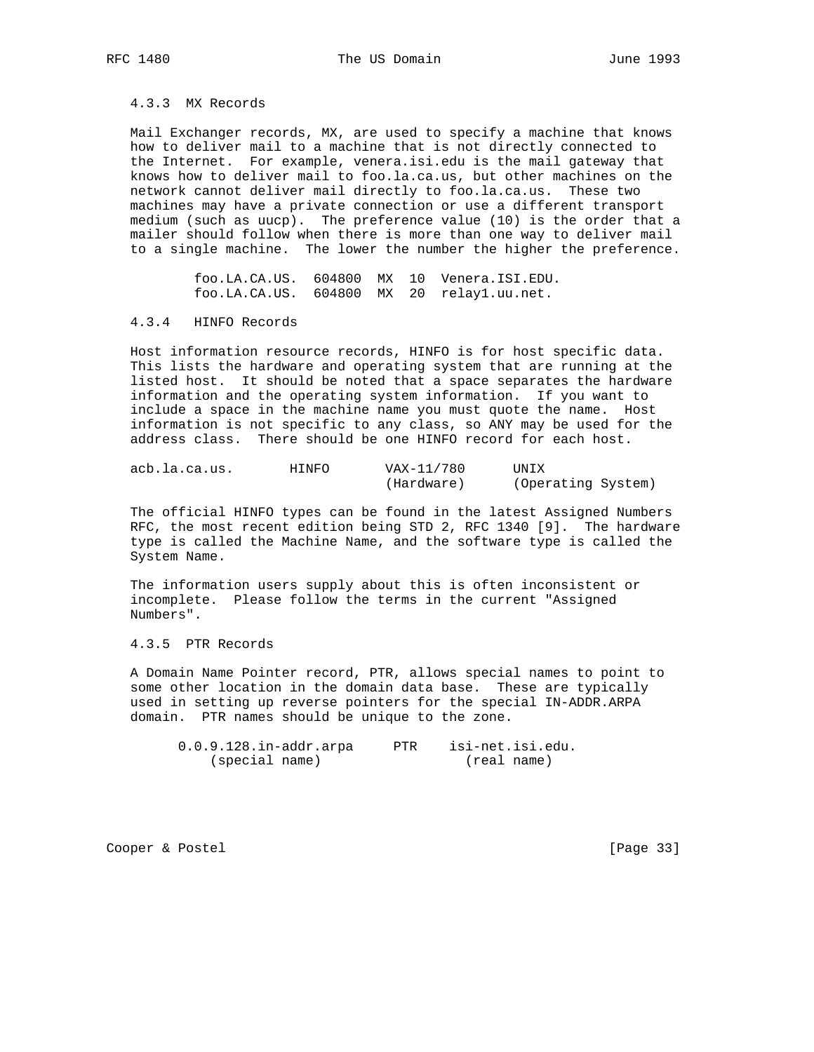## 4.3.3 MX Records

 Mail Exchanger records, MX, are used to specify a machine that knows how to deliver mail to a machine that is not directly connected to the Internet. For example, venera.isi.edu is the mail gateway that knows how to deliver mail to foo.la.ca.us, but other machines on the network cannot deliver mail directly to foo.la.ca.us. These two machines may have a private connection or use a different transport medium (such as uucp). The preference value (10) is the order that a mailer should follow when there is more than one way to deliver mail to a single machine. The lower the number the higher the preference.

> foo.LA.CA.US. 604800 MX 10 Venera.ISI.EDU. foo.LA.CA.US. 604800 MX 20 relay1.uu.net.

### 4.3.4 HINFO Records

 Host information resource records, HINFO is for host specific data. This lists the hardware and operating system that are running at the listed host. It should be noted that a space separates the hardware information and the operating system information. If you want to include a space in the machine name you must quote the name. Host information is not specific to any class, so ANY may be used for the address class. There should be one HINFO record for each host.

| acb.la.ca.us. | HINFO | VAX-11/780 | UNIX               |
|---------------|-------|------------|--------------------|
|               |       | (Hardware) | (Operating System) |

 The official HINFO types can be found in the latest Assigned Numbers RFC, the most recent edition being STD 2, RFC 1340 [9]. The hardware type is called the Machine Name, and the software type is called the System Name.

 The information users supply about this is often inconsistent or incomplete. Please follow the terms in the current "Assigned Numbers".

## 4.3.5 PTR Records

 A Domain Name Pointer record, PTR, allows special names to point to some other location in the domain data base. These are typically used in setting up reverse pointers for the special IN-ADDR.ARPA domain. PTR names should be unique to the zone.

| $0.0.9.128.in-addr.array$ | PTR | isi-net.isi.edu. |
|---------------------------|-----|------------------|
| (special name)            |     | (real name)      |

Cooper & Postel [Page 33]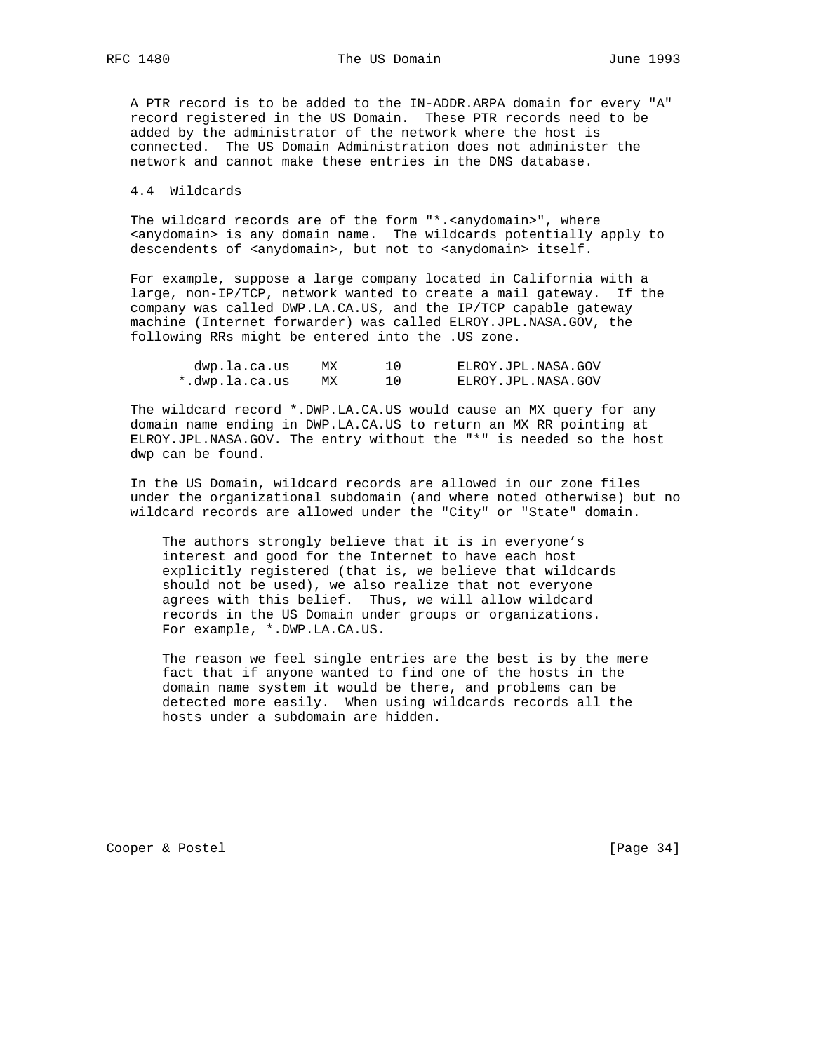A PTR record is to be added to the IN-ADDR.ARPA domain for every "A" record registered in the US Domain. These PTR records need to be added by the administrator of the network where the host is connected. The US Domain Administration does not administer the network and cannot make these entries in the DNS database.

# 4.4 Wildcards

 The wildcard records are of the form "\*.<anydomain>", where <anydomain> is any domain name. The wildcards potentially apply to descendents of <anydomain>, but not to <anydomain> itself.

 For example, suppose a large company located in California with a large, non-IP/TCP, network wanted to create a mail gateway. If the company was called DWP.LA.CA.US, and the IP/TCP capable gateway machine (Internet forwarder) was called ELROY.JPL.NASA.GOV, the following RRs might be entered into the .US zone.

| dwp.la.ca.us   | МX | ELROY.JPL.NASA.GOV |
|----------------|----|--------------------|
| *.dwp.la.ca.us | МX | ELROY.JPL.NASA.GOV |

 The wildcard record \*.DWP.LA.CA.US would cause an MX query for any domain name ending in DWP.LA.CA.US to return an MX RR pointing at ELROY.JPL.NASA.GOV. The entry without the "\*" is needed so the host dwp can be found.

 In the US Domain, wildcard records are allowed in our zone files under the organizational subdomain (and where noted otherwise) but no wildcard records are allowed under the "City" or "State" domain.

 The authors strongly believe that it is in everyone's interest and good for the Internet to have each host explicitly registered (that is, we believe that wildcards should not be used), we also realize that not everyone agrees with this belief. Thus, we will allow wildcard records in the US Domain under groups or organizations. For example, \*.DWP.LA.CA.US.

 The reason we feel single entries are the best is by the mere fact that if anyone wanted to find one of the hosts in the domain name system it would be there, and problems can be detected more easily. When using wildcards records all the hosts under a subdomain are hidden.

Cooper & Postel [Page 34]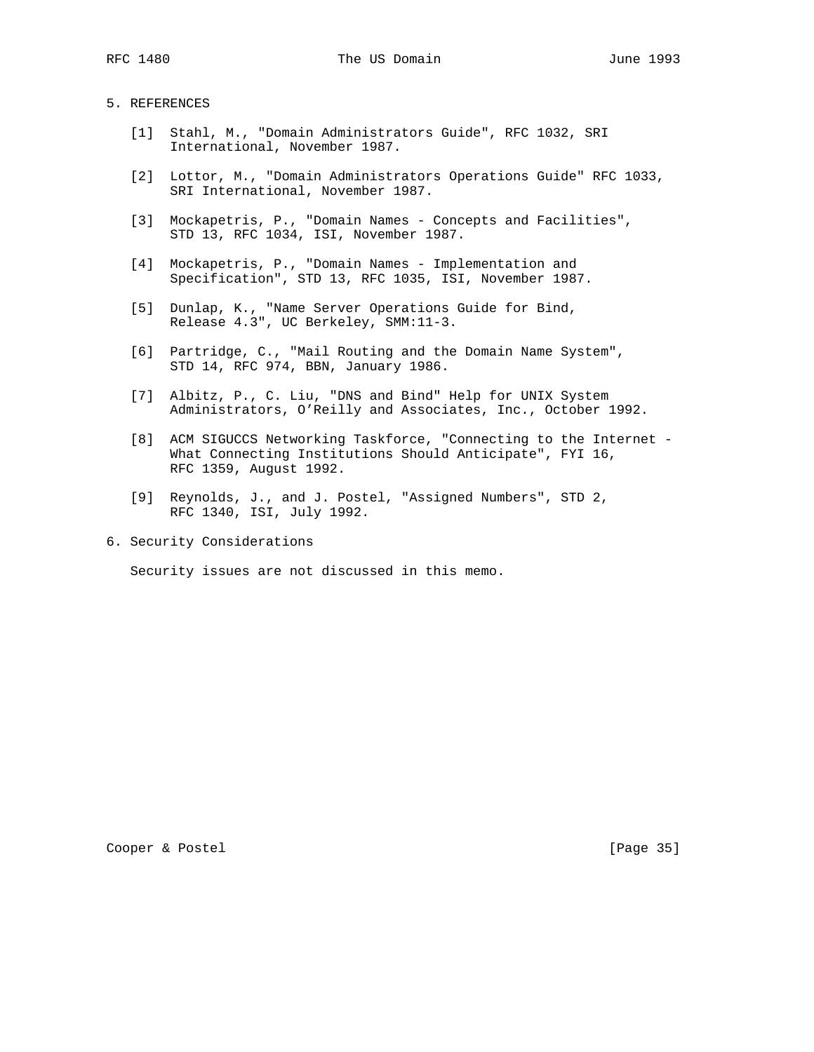# 5. REFERENCES

- [1] Stahl, M., "Domain Administrators Guide", RFC 1032, SRI International, November 1987.
- [2] Lottor, M., "Domain Administrators Operations Guide" RFC 1033, SRI International, November 1987.
- [3] Mockapetris, P., "Domain Names Concepts and Facilities", STD 13, RFC 1034, ISI, November 1987.
- [4] Mockapetris, P., "Domain Names Implementation and Specification", STD 13, RFC 1035, ISI, November 1987.
- [5] Dunlap, K., "Name Server Operations Guide for Bind, Release 4.3", UC Berkeley, SMM:11-3.
- [6] Partridge, C., "Mail Routing and the Domain Name System", STD 14, RFC 974, BBN, January 1986.
- [7] Albitz, P., C. Liu, "DNS and Bind" Help for UNIX System Administrators, O'Reilly and Associates, Inc., October 1992.
- [8] ACM SIGUCCS Networking Taskforce, "Connecting to the Internet What Connecting Institutions Should Anticipate", FYI 16, RFC 1359, August 1992.
- [9] Reynolds, J., and J. Postel, "Assigned Numbers", STD 2, RFC 1340, ISI, July 1992.

6. Security Considerations

Security issues are not discussed in this memo.

Cooper & Postel [Page 35]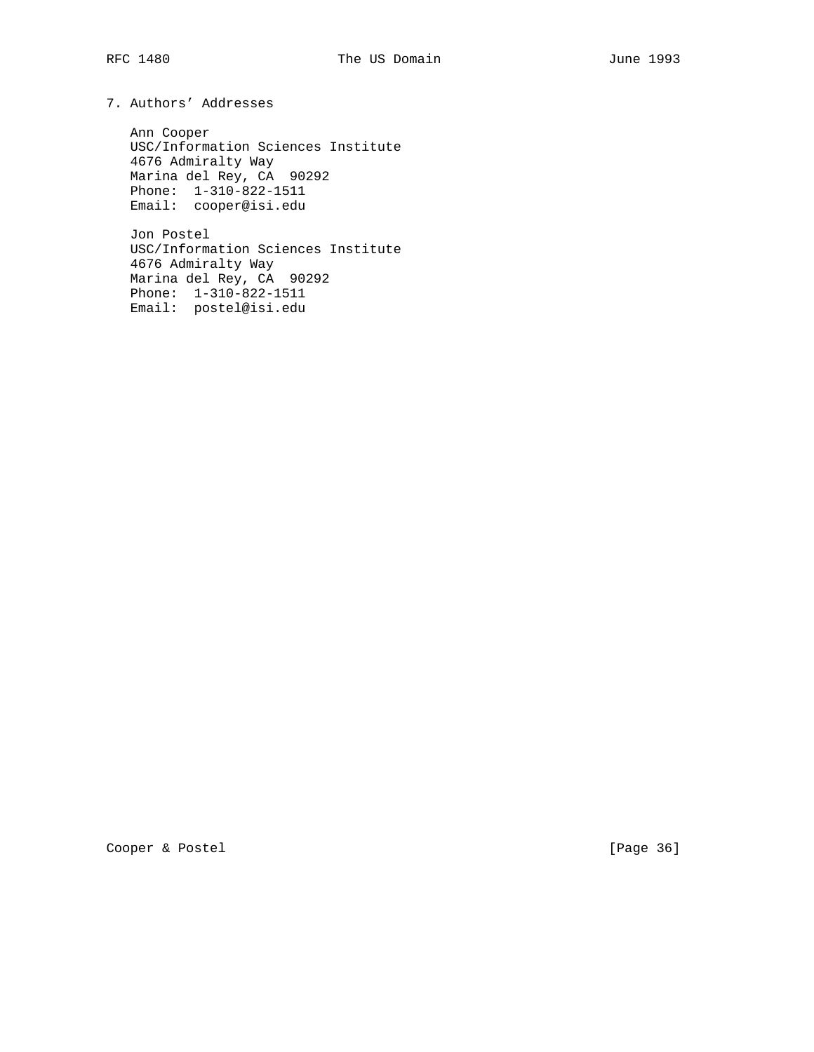7. Authors' Addresses

 Ann Cooper USC/Information Sciences Institute 4676 Admiralty Way Marina del Rey, CA 90292 Phone: 1-310-822-1511 Email: cooper@isi.edu

 Jon Postel USC/Information Sciences Institute 4676 Admiralty Way Marina del Rey, CA 90292 Phone: 1-310-822-1511 Email: postel@isi.edu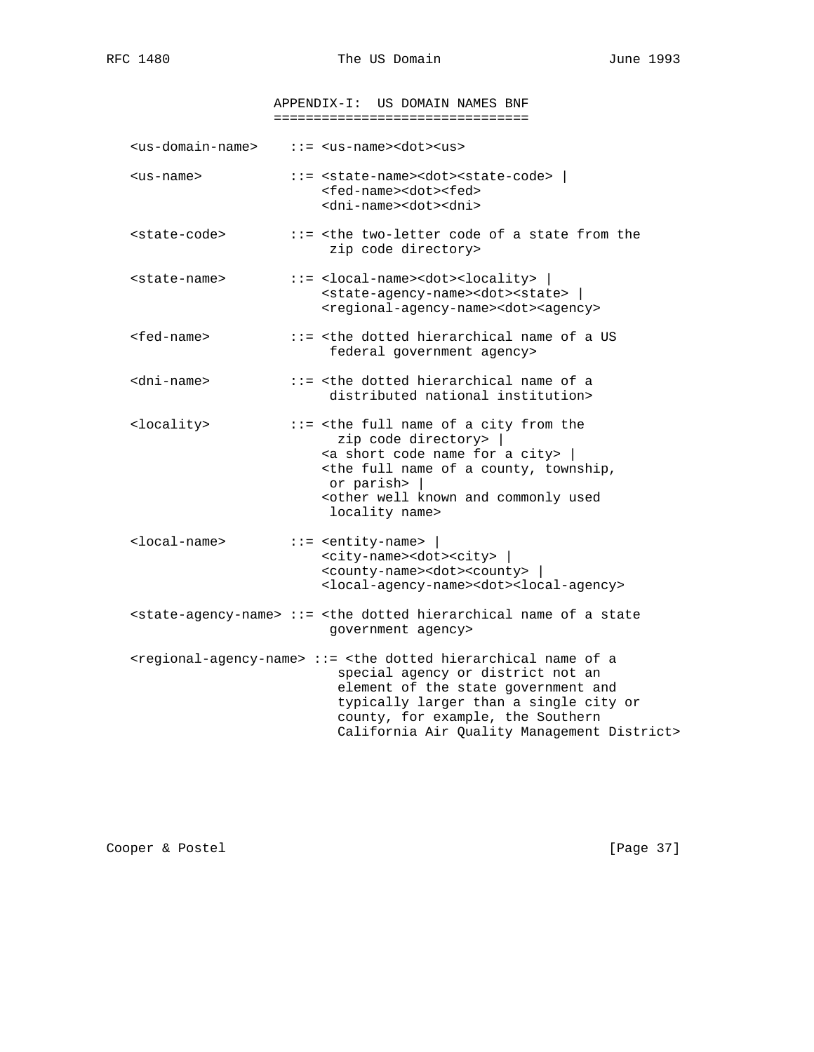| APPENDIX-I: US DOMAIN NAMES BNF   |                                                                                                                                                                                                                                                                                                                                  |  |  |  |
|-----------------------------------|----------------------------------------------------------------------------------------------------------------------------------------------------------------------------------------------------------------------------------------------------------------------------------------------------------------------------------|--|--|--|
| ================================= |                                                                                                                                                                                                                                                                                                                                  |  |  |  |
| <us-domain-name></us-domain-name> | $::=$ <us-name><dot><us></us></dot></us-name>                                                                                                                                                                                                                                                                                    |  |  |  |
| <us-name></us-name>               | ::= <state-name><dot><state-code>  <br/><fed-name><dot><fed><br/><dni-name><dot><dni></dni></dot></dni-name></fed></dot></fed-name></state-code></dot></state-name>                                                                                                                                                              |  |  |  |
| <state-code></state-code>         | ::= <the a="" code="" from="" of="" state="" the<br="" two-letter="">zip code directory&gt;</the>                                                                                                                                                                                                                                |  |  |  |
| <state-name></state-name>         | $::=$ <local-name><dot><locality> <math> </math><br/><state-agency-name><dot><state>  <br/><regional-agency-name><dot><agency></agency></dot></regional-agency-name></state></dot></state-agency-name></locality></dot></local-name>                                                                                             |  |  |  |
| <fed-name></fed-name>             | $::=$ <the a="" dotted="" hierarchical="" name="" of="" us<br="">federal government agency&gt;</the>                                                                                                                                                                                                                             |  |  |  |
| <dni-name></dni-name>             | $ ::=$ <the a<br="" dotted="" hierarchical="" name="" of="">distributed national institution&gt;</the>                                                                                                                                                                                                                           |  |  |  |
| <locality></locality>             | ::= <the a="" city="" from="" full="" name="" of="" the<br="">zip code directory&gt;  <br/><a a="" city="" code="" for="" name="" short="">  <br/><the a="" county,="" full="" name="" of="" township,<br="">or parish&gt;  <br/><other and="" commonly="" known="" used<br="" well="">locality name&gt;</other></the></a></the> |  |  |  |
| <local-name></local-name>         | ::= <entity-name><br/><city-name><dot><city>  <br/><county-name><dot><county><br/><local-agency-name><dot><local-agency></local-agency></dot></local-agency-name></county></dot></county-name></city></dot></city-name></entity-name>                                                                                            |  |  |  |
|                                   | <state-agency-name> ::= <the a="" dotted="" hierarchical="" name="" of="" state<br="">government agency&gt;</the></state-agency-name>                                                                                                                                                                                            |  |  |  |
|                                   | <regional-agency-name> ::= <the a<br="" dotted="" hierarchical="" name="" of="">special agency or district not an<br/>element of the state government and<br/>typically larger than a single city or<br/>county, for example, the Southern<br/>California Air Quality Management District&gt;</the></regional-agency-name>       |  |  |  |

Cooper & Postel [Page 37]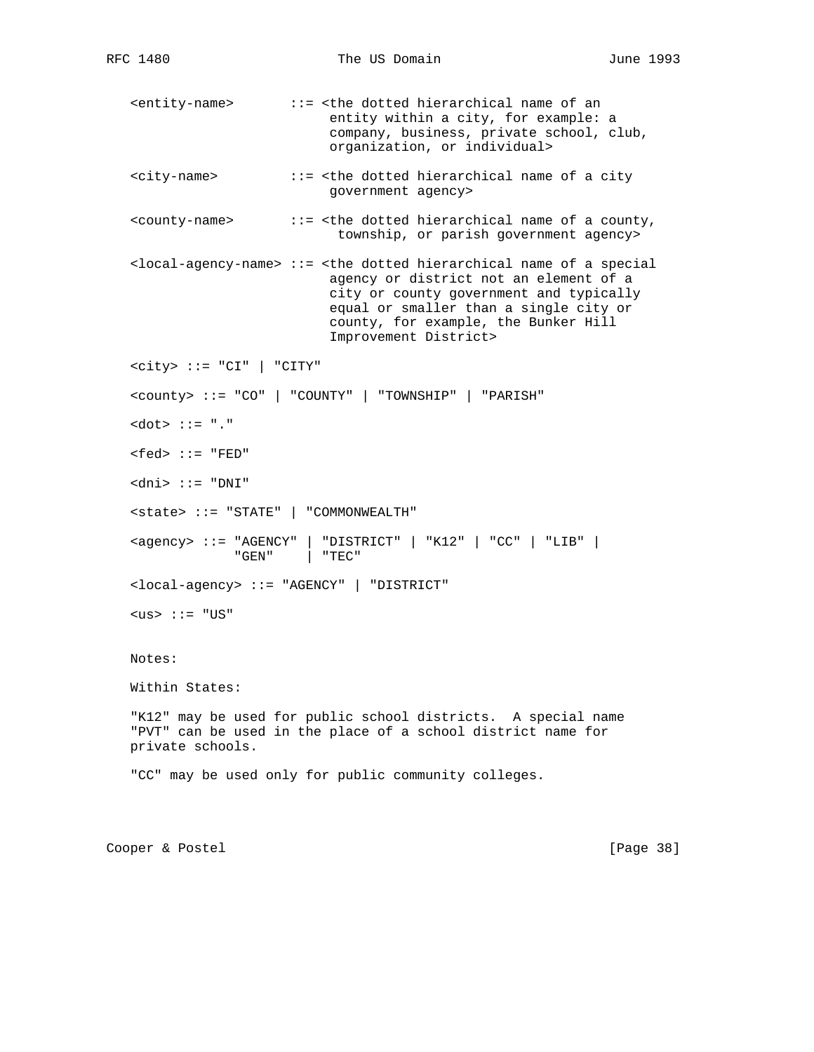<entity-name> ::= <the dotted hierarchical name of an entity within a city, for example: a company, business, private school, club, organization, or individual> <city-name> ::= <the dotted hierarchical name of a city government agency> <county-name> ::= <the dotted hierarchical name of a county, township, or parish government agency> <local-agency-name> ::= <the dotted hierarchical name of a special agency or district not an element of a city or county government and typically equal or smaller than a single city or county, for example, the Bunker Hill Improvement District> <city> ::= "CI" | "CITY" <county> ::= "CO" | "COUNTY" | "TOWNSHIP" | "PARISH" <dot> ::= "."  $<$ fed>  $::=$  "FED"  $<$ dni> ::= "DNI" <state> ::= "STATE" | "COMMONWEALTH" <agency> ::= "AGENCY" | "DISTRICT" | "K12" | "CC" | "LIB" | "GEN" | "TEC" <local-agency> ::= "AGENCY" | "DISTRICT"  $\langle$ us> ::= "US" Notes: Within States: "K12" may be used for public school districts. A special name "PVT" can be used in the place of a school district name for private schools. "CC" may be used only for public community colleges.

Cooper & Postel [Page 38]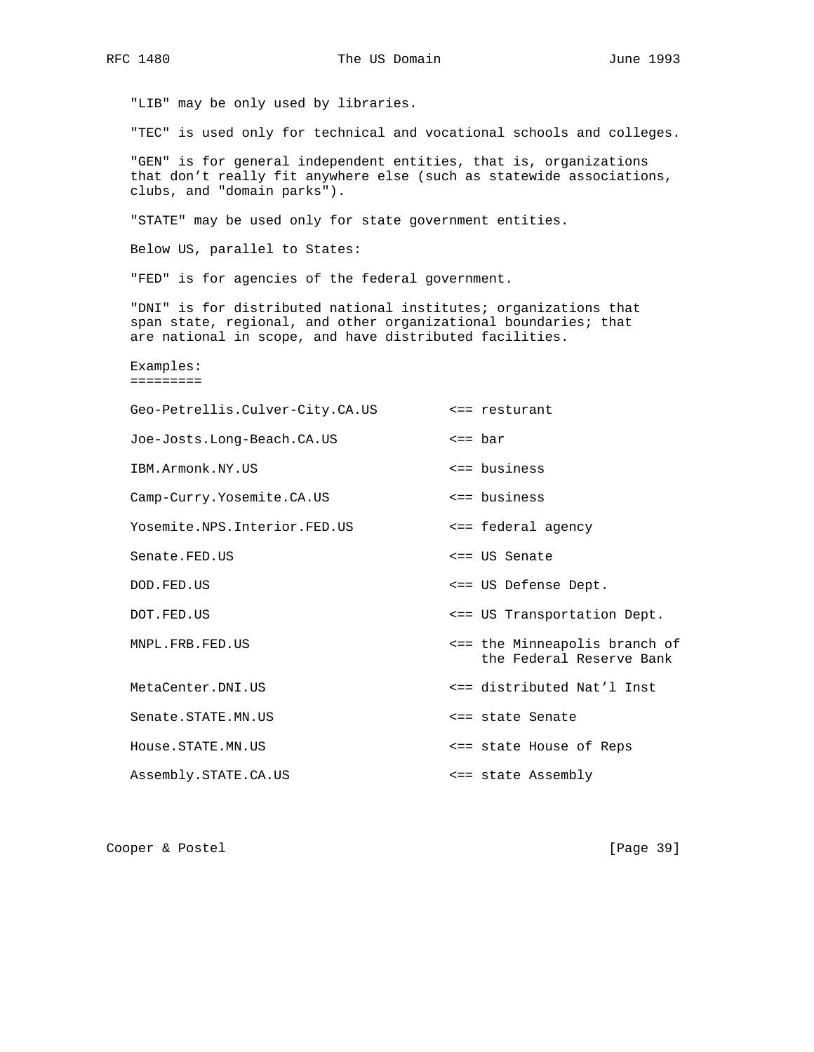"LIB" may be only used by libraries. "TEC" is used only for technical and vocational schools and colleges. "GEN" is for general independent entities, that is, organizations that don't really fit anywhere else (such as statewide associations, clubs, and "domain parks"). "STATE" may be used only for state government entities. Below US, parallel to States: "FED" is for agencies of the federal government. "DNI" is for distributed national institutes; organizations that span state, regional, and other organizational boundaries; that are national in scope, and have distributed facilities. Examples: ========= Geo-Petrellis.Culver-City.CA.US <== resturant Joe-Josts.Long-Beach.CA.US <== bar IBM.Armonk.NY.US <== business Camp-Curry.Yosemite.CA.US <== business Yosemite.NPS.Interior.FED.US <== federal agency Senate.FED.US <== US Senate DOD.FED.US <== US Defense Dept. DOT.FED.US <== US Transportation Dept. MNPL.FRB.FED.US <== the Minneapolis branch of the Federal Reserve Bank MetaCenter.DNI.US <== distributed Nat'l Inst Senate.STATE.MN.US <== state Senate House.STATE.MN.US <== state House of Reps Assembly.STATE.CA.US <== state Assembly

Cooper & Postel [Page 39]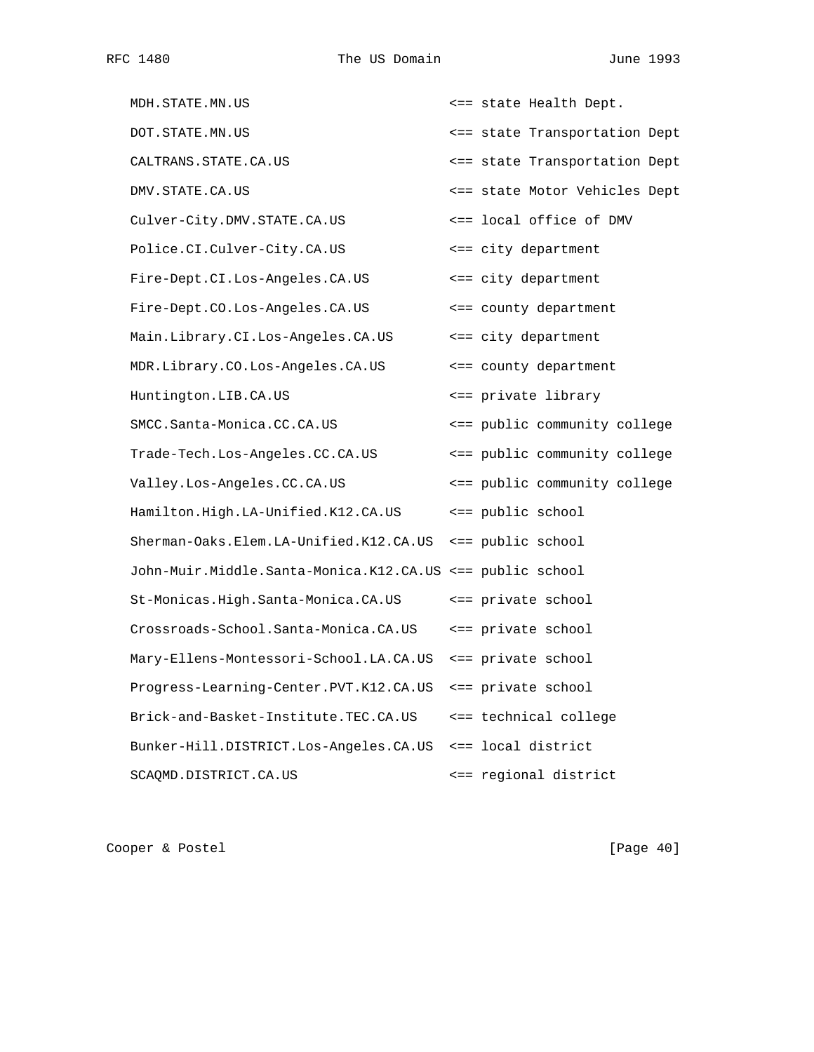MDH.STATE.MN.US <== state Health Dept. DOT.STATE.MN.US <== state Transportation Dept CALTRANS.STATE.CA.US <== state Transportation Dept DMV.STATE.CA.US <== state Motor Vehicles Dept Culver-City.DMV.STATE.CA.US <== local office of DMV Police.CI.Culver-City.CA.US <== city department Fire-Dept.CI.Los-Angeles.CA.US <== city department Fire-Dept.CO.Los-Angeles.CA.US <== county department Main.Library.CI.Los-Angeles.CA.US <== city department MDR.Library.CO.Los-Angeles.CA.US <== county department Huntington.LIB.CA.US <== private library SMCC.Santa-Monica.CC.CA.US <== public community college Trade-Tech.Los-Angeles.CC.CA.US <== public community college Valley.Los-Angeles.CC.CA.US <== public community college Hamilton.High.LA-Unified.K12.CA.US <== public school Sherman-Oaks.Elem.LA-Unified.K12.CA.US <== public school John-Muir.Middle.Santa-Monica.K12.CA.US <== public school St-Monicas.High.Santa-Monica.CA.US <== private school Crossroads-School.Santa-Monica.CA.US <== private school Mary-Ellens-Montessori-School.LA.CA.US <== private school Progress-Learning-Center.PVT.K12.CA.US <== private school Brick-and-Basket-Institute.TEC.CA.US <== technical college Bunker-Hill.DISTRICT.Los-Angeles.CA.US <== local district SCAQMD.DISTRICT.CA.US <== regional district

Cooper & Postel [Page 40]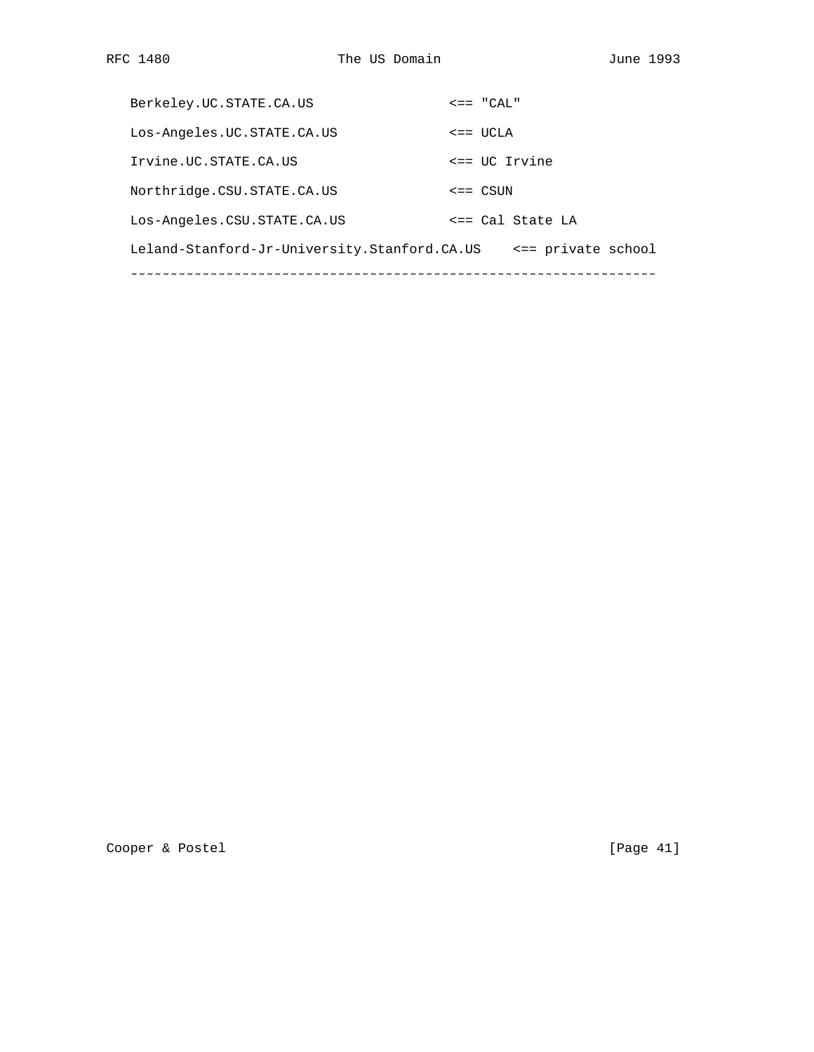| Berkeley.UC.STATE.CA.US                      | $\leq$ = $\leq$ $\leq$ $\leq$ $\leq$ $\leq$ $\leq$ $\leq$ $\leq$ $\leq$ $\leq$ $\leq$ $\leq$ $\leq$ $\leq$ $\leq$ $\leq$ $\leq$ $\leq$ $\leq$ $\leq$ $\leq$ $\leq$ $\leq$ $\leq$ $\leq$ $\leq$ $\leq$ $\leq$ $\leq$ $\leq$ $\leq$ $\leq$ $\leq$ $\leq$ $\leq$ $\le$ |                        |
|----------------------------------------------|---------------------------------------------------------------------------------------------------------------------------------------------------------------------------------------------------------------------------------------------------------------------|------------------------|
| Los-Angeles.UC.STATE.CA.US                   | $\leq$ = $\equiv$ $\prod$ CT.A                                                                                                                                                                                                                                      |                        |
| Irvine.UC.STATE.CA.US                        | $\leq = \text{UC}$ Irvine                                                                                                                                                                                                                                           |                        |
| Northridge.CSU.STATE.CA.US                   | $\epsilon$ == CSUN                                                                                                                                                                                                                                                  |                        |
| Los-Angeles.CSU.STATE.CA.US                  |                                                                                                                                                                                                                                                                     | $\leq$ == Cal State LA |
| Leland-Stanford-Jr-University.Stanford.CA.US |                                                                                                                                                                                                                                                                     | <== private school     |
|                                              |                                                                                                                                                                                                                                                                     |                        |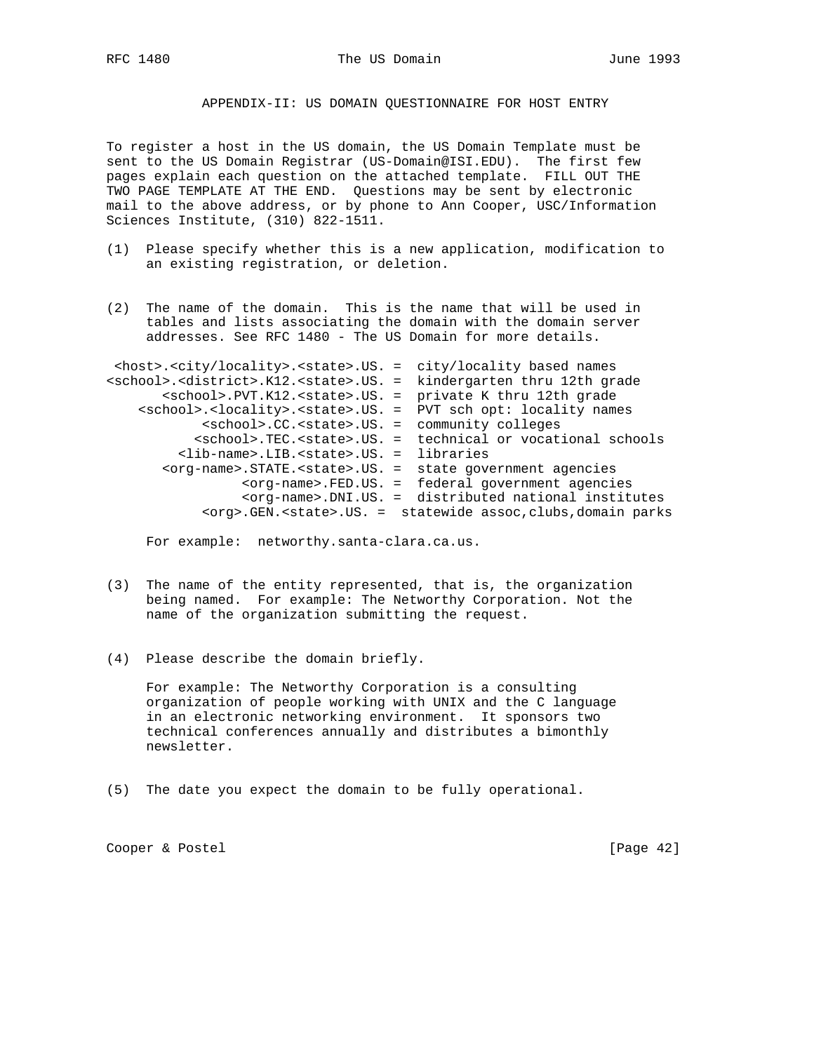RFC 1480 The US Domain June 1993

APPENDIX-II: US DOMAIN QUESTIONNAIRE FOR HOST ENTRY

To register a host in the US domain, the US Domain Template must be sent to the US Domain Registrar (US-Domain@ISI.EDU). The first few pages explain each question on the attached template. FILL OUT THE TWO PAGE TEMPLATE AT THE END. Questions may be sent by electronic mail to the above address, or by phone to Ann Cooper, USC/Information Sciences Institute, (310) 822-1511.

- (1) Please specify whether this is a new application, modification to an existing registration, or deletion.
- (2) The name of the domain. This is the name that will be used in tables and lists associating the domain with the domain server addresses. See RFC 1480 - The US Domain for more details.

| <host>.<city locality="">.<state>.US. = city/locality based names</state></city></host>        |                                                                             |
|------------------------------------------------------------------------------------------------|-----------------------------------------------------------------------------|
| <school>.<district>.K12.<state>.US. = kindergarten thru 12th grade</state></district></school> |                                                                             |
| <school>.PVT.K12.<state>.US. = private K thru 12th grade</state></school>                      |                                                                             |
| <school>.<locality>.<state>.US. = PVT sch opt: locality names</state></locality></school>      |                                                                             |
| <school>.CC.<state>.US. = community colleges</state></school>                                  |                                                                             |
|                                                                                                | <school>.TEC.<state>.US. = technical or vocational schools</state></school> |
| <lib-name>.LIB.<state>.US. = libraries</state></lib-name>                                      |                                                                             |
| <org-name>.STATE.<state>.US. = state government agencies</state></org-name>                    |                                                                             |
|                                                                                                | <org-name>.FED.US. = federal government agencies</org-name>                 |
|                                                                                                | <org-name>.DNI.US. = distributed national institutes</org-name>             |
|                                                                                                | <org>.GEN.<state>.US. = statewide assoc,clubs,domain parks</state></org>    |

For example: networthy.santa-clara.ca.us.

- (3) The name of the entity represented, that is, the organization being named. For example: The Networthy Corporation. Not the name of the organization submitting the request.
- (4) Please describe the domain briefly.

 For example: The Networthy Corporation is a consulting organization of people working with UNIX and the C language in an electronic networking environment. It sponsors two technical conferences annually and distributes a bimonthly newsletter.

(5) The date you expect the domain to be fully operational.

Cooper & Postel [Page 42]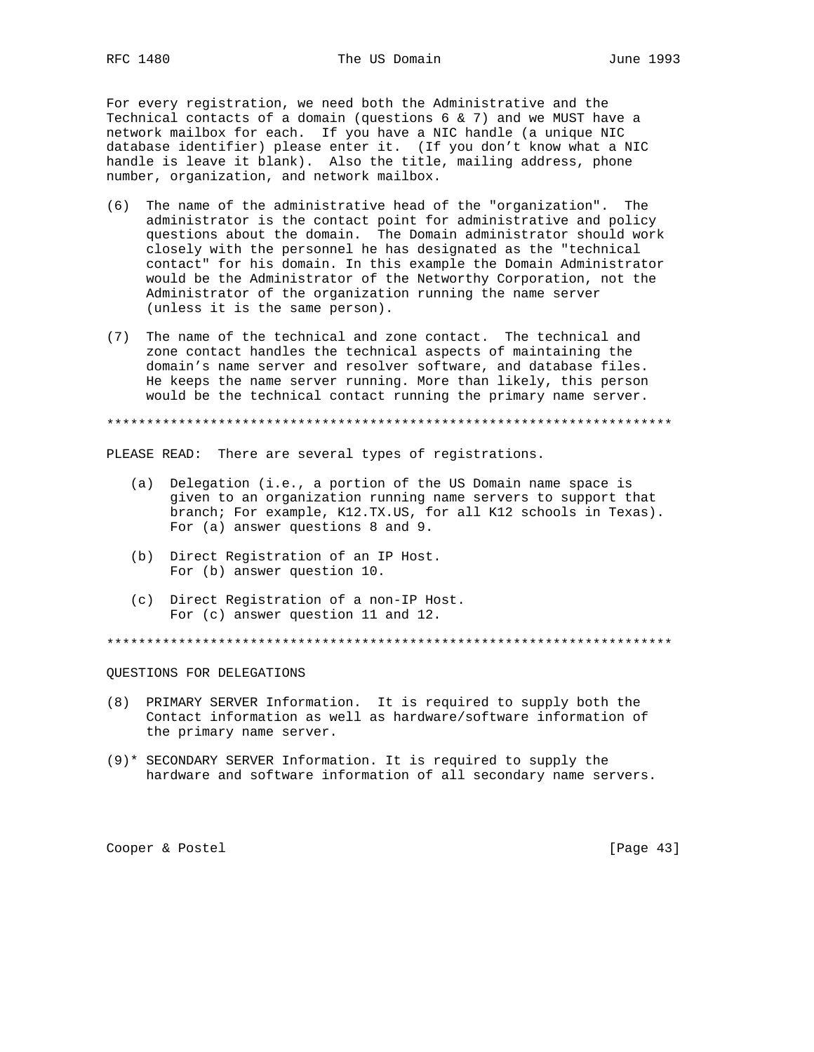For every registration, we need both the Administrative and the Technical contacts of a domain (questions  $6 \times 7$ ) and we MUST have a network mailbox for each. If you have a NIC handle (a unique NIC database identifier) please enter it. (If you don't know what a NIC handle is leave it blank). Also the title, mailing address, phone number, organization, and network mailbox.

- (6) The name of the administrative head of the "organization". The administrator is the contact point for administrative and policy questions about the domain. The Domain administrator should work closely with the personnel he has designated as the "technical contact" for his domain. In this example the Domain Administrator would be the Administrator of the Networthy Corporation, not the Administrator of the organization running the name server (unless it is the same person).
- (7) The name of the technical and zone contact. The technical and zone contact handles the technical aspects of maintaining the domain's name server and resolver software, and database files. He keeps the name server running. More than likely, this person would be the technical contact running the primary name server.

\*\*\*\*\*\*\*\*\*\*\*\*\*\*\*\*\*\*\*\*\*\*\*\*\*\*\*\*\*\*\*\*\*\*\*\*\*\*\*\*\*\*\*\*\*\*\*\*\*\*\*\*\*\*\*\*\*\*\*\*\*\*\*\*\*\*\*\*\*\*\*

PLEASE READ: There are several types of registrations.

- (a) Delegation (i.e., a portion of the US Domain name space is given to an organization running name servers to support that branch; For example, K12.TX.US, for all K12 schools in Texas). For (a) answer questions 8 and 9.
- (b) Direct Registration of an IP Host. For (b) answer question 10.
- (c) Direct Registration of a non-IP Host. For (c) answer question 11 and 12.

\*\*\*\*\*\*\*\*\*\*\*\*\*\*\*\*\*\*\*\*\*\*\*\*\*\*\*\*\*\*\*\*\*\*\*\*\*\*\*\*\*\*\*\*\*\*\*\*\*\*\*\*\*\*\*\*\*\*\*\*\*\*\*\*\*\*\*\*\*\*\*

QUESTIONS FOR DELEGATIONS

- (8) PRIMARY SERVER Information. It is required to supply both the Contact information as well as hardware/software information of the primary name server.
- (9)\* SECONDARY SERVER Information. It is required to supply the hardware and software information of all secondary name servers.

Cooper & Postel [Page 43]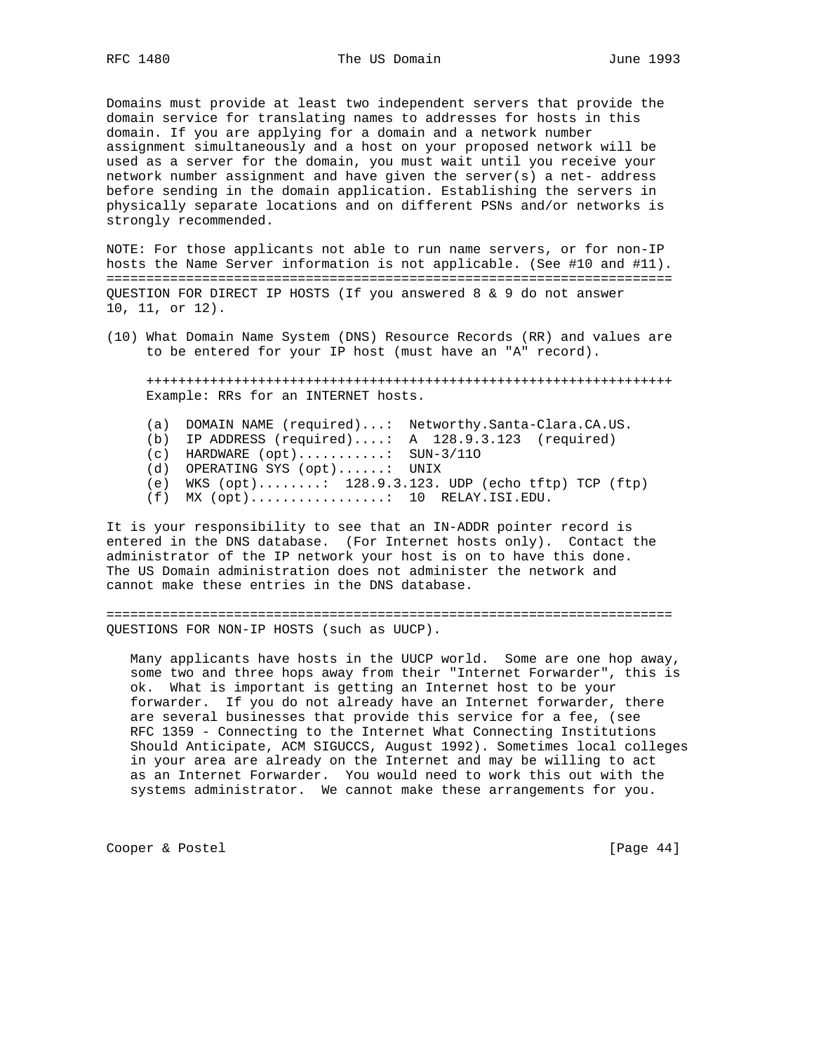Domains must provide at least two independent servers that provide the domain service for translating names to addresses for hosts in this domain. If you are applying for a domain and a network number assignment simultaneously and a host on your proposed network will be used as a server for the domain, you must wait until you receive your network number assignment and have given the server(s) a net- address before sending in the domain application. Establishing the servers in physically separate locations and on different PSNs and/or networks is strongly recommended.

NOTE: For those applicants not able to run name servers, or for non-IP hosts the Name Server information is not applicable. (See #10 and #11). ======================================================================= QUESTION FOR DIRECT IP HOSTS (If you answered 8 & 9 do not answer 10, 11, or 12).

(10) What Domain Name System (DNS) Resource Records (RR) and values are to be entered for your IP host (must have an "A" record).

 ++++++++++++++++++++++++++++++++++++++++++++++++++++++++++++++++++ Example: RRs for an INTERNET hosts.

 (a) DOMAIN NAME (required)...: Networthy.Santa-Clara.CA.US. (b) IP ADDRESS (required)....: A 128.9.3.123 (required)  $(c)$  HARDWARE  $(opt)$ ...........: SUN-3/110 (d) OPERATING SYS (opt)......: UNIX (e) WKS (opt)........: 128.9.3.123. UDP (echo tftp) TCP (ftp) (f) MX (opt).................: 10 RELAY.ISI.EDU.

It is your responsibility to see that an IN-ADDR pointer record is entered in the DNS database. (For Internet hosts only). Contact the administrator of the IP network your host is on to have this done. The US Domain administration does not administer the network and cannot make these entries in the DNS database.

======================================================================= QUESTIONS FOR NON-IP HOSTS (such as UUCP).

 Many applicants have hosts in the UUCP world. Some are one hop away, some two and three hops away from their "Internet Forwarder", this is ok. What is important is getting an Internet host to be your forwarder. If you do not already have an Internet forwarder, there are several businesses that provide this service for a fee, (see RFC 1359 - Connecting to the Internet What Connecting Institutions Should Anticipate, ACM SIGUCCS, August 1992). Sometimes local colleges in your area are already on the Internet and may be willing to act as an Internet Forwarder. You would need to work this out with the systems administrator. We cannot make these arrangements for you.

Cooper & Postel [Page 44]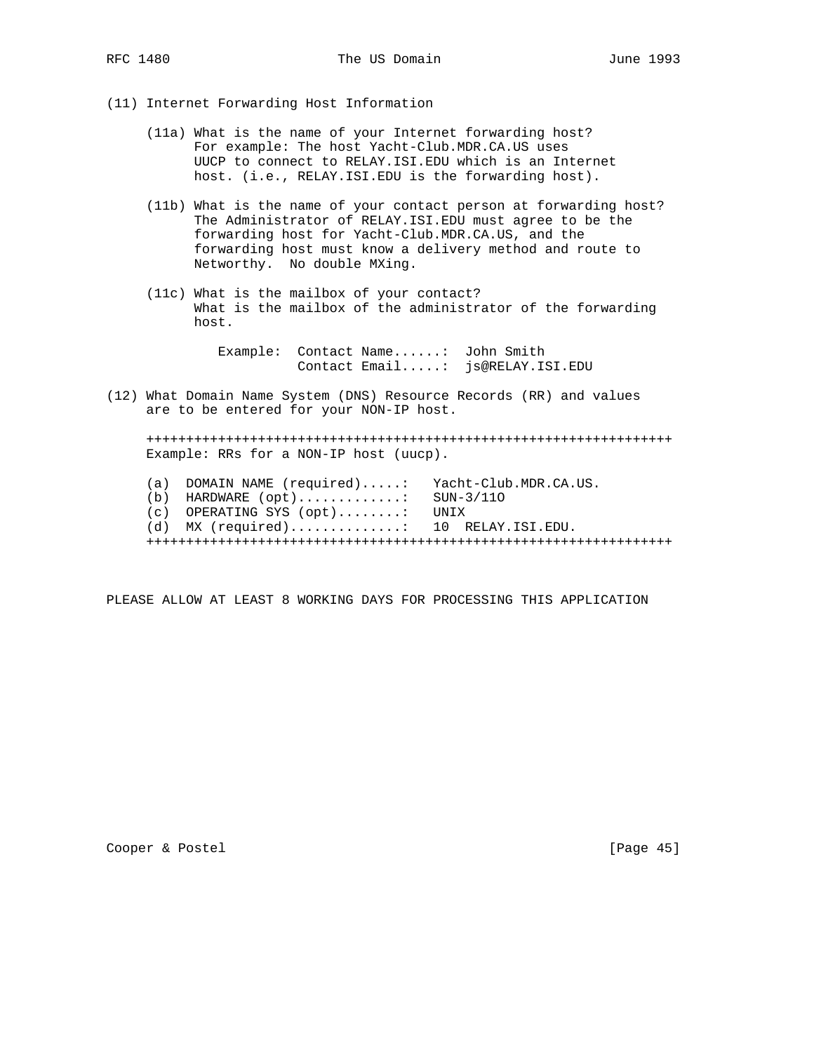- (11) Internet Forwarding Host Information
	- (11a) What is the name of your Internet forwarding host? For example: The host Yacht-Club.MDR.CA.US uses UUCP to connect to RELAY.ISI.EDU which is an Internet host. (i.e., RELAY.ISI.EDU is the forwarding host).
	- (11b) What is the name of your contact person at forwarding host? The Administrator of RELAY.ISI.EDU must agree to be the forwarding host for Yacht-Club.MDR.CA.US, and the forwarding host must know a delivery method and route to Networthy. No double MXing.
	- (11c) What is the mailbox of your contact? What is the mailbox of the administrator of the forwarding host.

 Example: Contact Name......: John Smith Contact Email.....: js@RELAY.ISI.EDU

(12) What Domain Name System (DNS) Resource Records (RR) and values are to be entered for your NON-IP host.

 ++++++++++++++++++++++++++++++++++++++++++++++++++++++++++++++++++ Example: RRs for a NON-IP host (uucp).

- (a) DOMAIN NAME (required).....: Yacht-Club.MDR.CA.US.
- (b) HARDWARE (opt).............: SUN-3/11O
- (c) OPERATING SYS (opt)........: UNIX
- (d) MX (required)..............: 10 RELAY.ISI.EDU.

++++++++++++++++++++++++++++++++++++++++++++++++++++++++++++++++++

PLEASE ALLOW AT LEAST 8 WORKING DAYS FOR PROCESSING THIS APPLICATION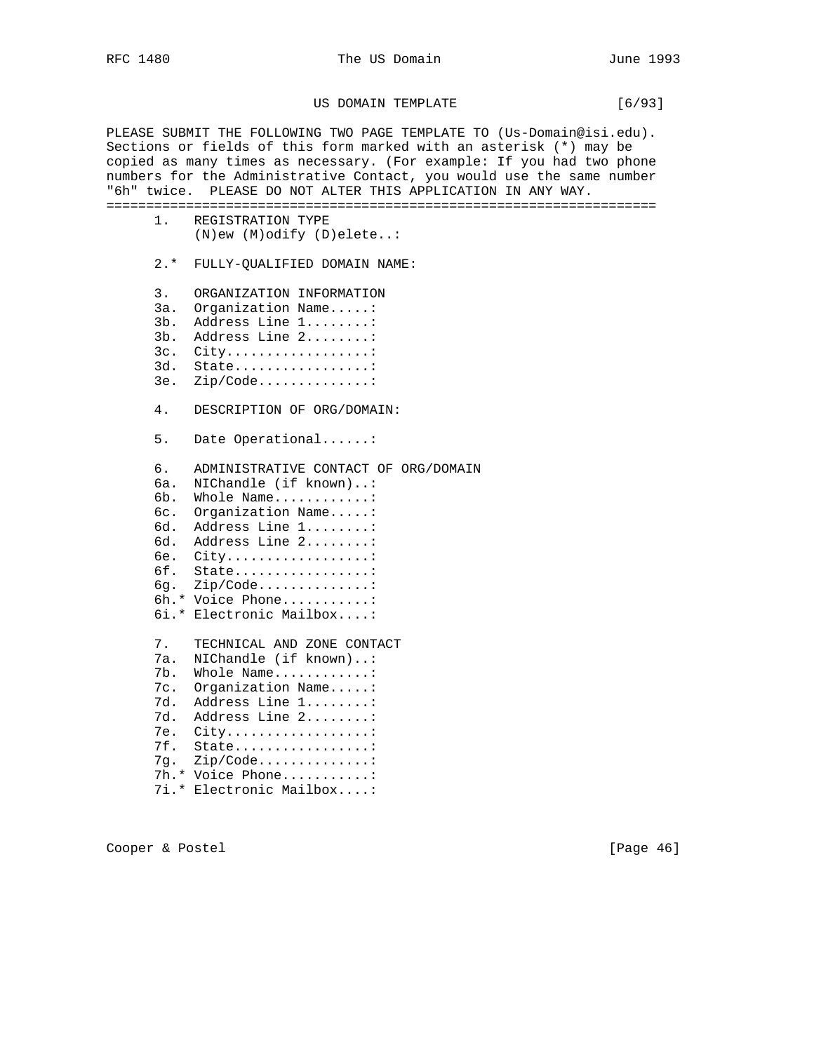US DOMAIN TEMPLATE [6/93]

PLEASE SUBMIT THE FOLLOWING TWO PAGE TEMPLATE TO (Us-Domain@isi.edu). Sections or fields of this form marked with an asterisk (\*) may be copied as many times as necessary. (For example: If you had two phone numbers for the Administrative Contact, you would use the same number "6h" twice. PLEASE DO NOT ALTER THIS APPLICATION IN ANY WAY. ===================================================================== 1. REGISTRATION TYPE (N)ew (M)odify (D)elete..: 2.\* FULLY-QUALIFIED DOMAIN NAME: 3. ORGANIZATION INFORMATION 3a. Organization Name.....: 3b. Address Line 1........: 3b. Address Line 2........: 3c. City...................: 3d. State.................: 3e. Zip/Code..............: 4. DESCRIPTION OF ORG/DOMAIN: 5. Date Operational......: 6. ADMINISTRATIVE CONTACT OF ORG/DOMAIN 6a. NIChandle (if known)..: 6b. Whole Name............: 6c. Organization Name.....: 6d. Address Line 1........: 6d. Address Line 2........: 6e. City..................: 6f. State.................: 6g. Zip/Code..............: 6h.\* Voice Phone...........: 6i.\* Electronic Mailbox....: 7. TECHNICAL AND ZONE CONTACT 7a. NIChandle (if known)..: 7b. Whole Name............: 7c. Organization Name.....: 7d. Address Line 1........: 7d. Address Line 2........: 7e. City..................: 7f. State.................: 7g. Zip/Code..............: 7h.\* Voice Phone...........: 7i.\* Electronic Mailbox....:

Cooper & Postel [Page 46]